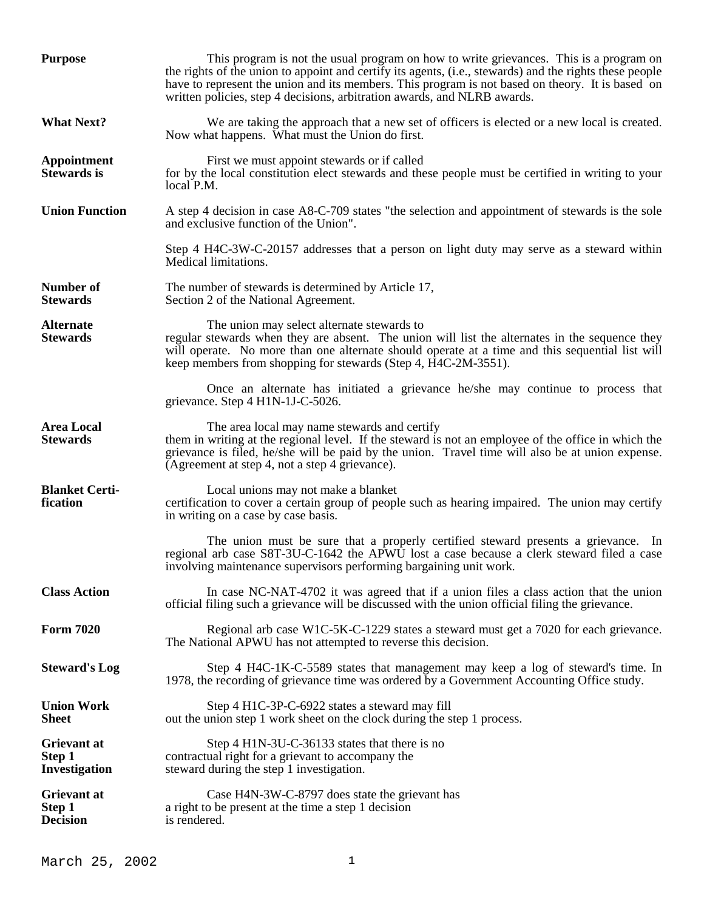| <b>Purpose</b>                                | This program is not the usual program on how to write grievances. This is a program on<br>the rights of the union to appoint and certify its agents, (i.e., stewards) and the rights these people<br>have to represent the union and its members. This program is not based on theory. It is based on<br>written policies, step 4 decisions, arbitration awards, and NLRB awards. |
|-----------------------------------------------|-----------------------------------------------------------------------------------------------------------------------------------------------------------------------------------------------------------------------------------------------------------------------------------------------------------------------------------------------------------------------------------|
| <b>What Next?</b>                             | We are taking the approach that a new set of officers is elected or a new local is created.<br>Now what happens. What must the Union do first.                                                                                                                                                                                                                                    |
| Appointment<br><b>Stewards</b> is             | First we must appoint stewards or if called<br>for by the local constitution elect stewards and these people must be certified in writing to your<br>local P.M.                                                                                                                                                                                                                   |
| <b>Union Function</b>                         | A step 4 decision in case A8-C-709 states "the selection and appointment of stewards is the sole<br>and exclusive function of the Union".                                                                                                                                                                                                                                         |
|                                               | Step 4 H4C-3W-C-20157 addresses that a person on light duty may serve as a steward within<br>Medical limitations.                                                                                                                                                                                                                                                                 |
| <b>Number of</b><br><b>Stewards</b>           | The number of stewards is determined by Article 17,<br>Section 2 of the National Agreement.                                                                                                                                                                                                                                                                                       |
| <b>Alternate</b><br><b>Stewards</b>           | The union may select alternate stewards to<br>regular stewards when they are absent. The union will list the alternates in the sequence they<br>will operate. No more than one alternate should operate at a time and this sequential list will<br>keep members from shopping for stewards (Step 4, H4C-2M-3551).                                                                 |
|                                               | Once an alternate has initiated a grievance he/she may continue to process that<br>grievance. Step 4 H1N-1J-C-5026.                                                                                                                                                                                                                                                               |
| <b>Area Local</b><br><b>Stewards</b>          | The area local may name stewards and certify<br>them in writing at the regional level. If the steward is not an employee of the office in which the<br>grievance is filed, he/she will be paid by the union. Travel time will also be at union expense.<br>(Agreement at step 4, not a step 4 grievance).                                                                         |
| <b>Blanket Certi-</b><br>fication             | Local unions may not make a blanket<br>certification to cover a certain group of people such as hearing impaired. The union may certify<br>in writing on a case by case basis.                                                                                                                                                                                                    |
|                                               | The union must be sure that a properly certified steward presents a grievance. In<br>regional arb case S8T-3U-C-1642 the APWU lost a case because a clerk steward filed a case<br>involving maintenance supervisors performing bargaining unit work.                                                                                                                              |
| <b>Class Action</b>                           | In case NC-NAT-4702 it was agreed that if a union files a class action that the union<br>official filing such a grievance will be discussed with the union official filing the grievance.                                                                                                                                                                                         |
| <b>Form 7020</b>                              | Regional arb case W1C-5K-C-1229 states a steward must get a 7020 for each grievance.<br>The National APWU has not attempted to reverse this decision.                                                                                                                                                                                                                             |
| <b>Steward's Log</b>                          | Step 4 H4C-1K-C-5589 states that management may keep a log of steward's time. In<br>1978, the recording of grievance time was ordered by a Government Accounting Office study.                                                                                                                                                                                                    |
| <b>Union Work</b><br><b>Sheet</b>             | Step 4 H1C-3P-C-6922 states a steward may fill<br>out the union step 1 work sheet on the clock during the step 1 process.                                                                                                                                                                                                                                                         |
| <b>Grievant at</b><br>Step 1<br>Investigation | Step 4 H1N-3U-C-36133 states that there is no<br>contractual right for a grievant to accompany the<br>steward during the step 1 investigation.                                                                                                                                                                                                                                    |
| Grievant at<br>Step 1<br><b>Decision</b>      | Case H4N-3W-C-8797 does state the grievant has<br>a right to be present at the time a step 1 decision<br>is rendered.                                                                                                                                                                                                                                                             |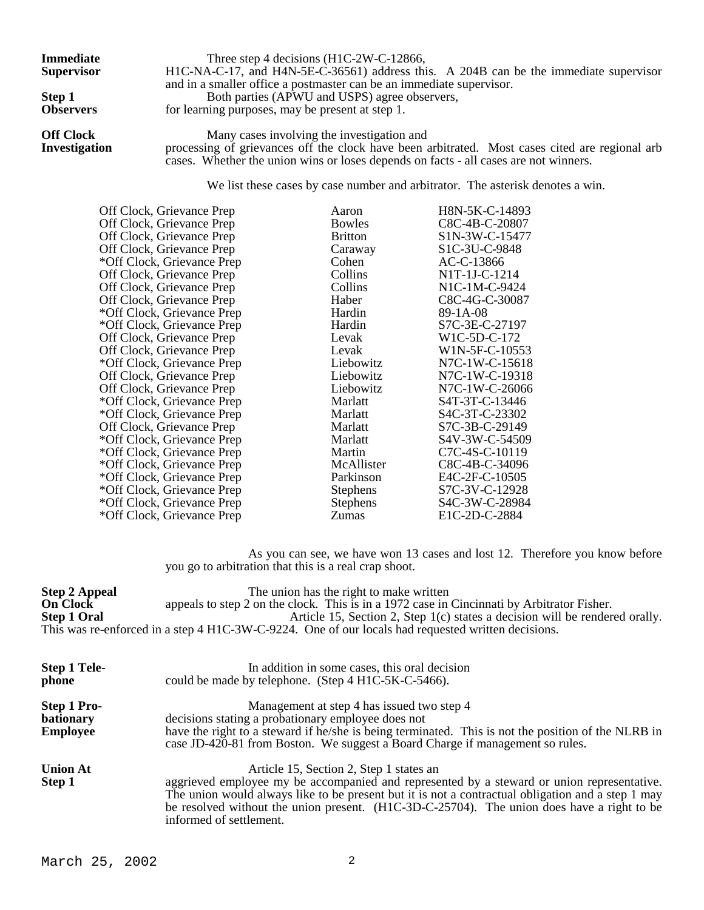**Immediate** Three step 4 decisions (H1C-2W-C-12866, **Supervisor** H1C-NA-C-17, and H4N-5E-C-36561) address this. A 204B can be the immediate supervisor and in a smaller office a postmaster can be an immediate supervisor. **Step 1** Both parties (APWU and USPS) agree observers,<br> **Observers** for learning purposes, may be present at step 1. for learning purposes, may be present at step 1. **Off Clock** Many cases involving the investigation and **Investigation** processing of grievances off the clock have been a **Investigation** processing of grievances off the clock have been arbitrated. Most cases cited are regional arb

cases. Whether the union wins or loses depends on facts - all cases are not winners.

We list these cases by case number and arbitrator. The asterisk denotes a win.

| Off Clock, Grievance Prep  | Aaron           | H8N-5K-C-14893  |
|----------------------------|-----------------|-----------------|
| Off Clock, Grievance Prep  | <b>Bowles</b>   | C8C-4B-C-20807  |
| Off Clock, Grievance Prep  | <b>Britton</b>  | S1N-3W-C-15477  |
| Off Clock, Grievance Prep  | Caraway         | S1C-3U-C-9848   |
| *Off Clock, Grievance Prep | Cohen           | AC-C-13866      |
| Off Clock, Grievance Prep  | Collins         | N1T-1J-C-1214   |
| Off Clock, Grievance Prep  | Collins         | $N1C-1M-C-9424$ |
| Off Clock, Grievance Prep  | Haber           | C8C-4G-C-30087  |
| *Off Clock, Grievance Prep | Hardin          | 89-1A-08        |
| *Off Clock, Grievance Prep | Hardin          | S7C-3E-C-27197  |
| Off Clock, Grievance Prep  | Levak           | W1C-5D-C-172    |
| Off Clock, Grievance Prep  | Levak           | W1N-5F-C-10553  |
| *Off Clock, Grievance Prep | Liebowitz       | N7C-1W-C-15618  |
| Off Clock, Grievance Prep  | Liebowitz       | N7C-1W-C-19318  |
| Off Clock, Grievance Prep  | Liebowitz       | N7C-1W-C-26066  |
| *Off Clock, Grievance Prep | Marlatt         | S4T-3T-C-13446  |
| *Off Clock, Grievance Prep | Marlatt         | S4C-3T-C-23302  |
| Off Clock, Grievance Prep  | Marlatt         | S7C-3B-C-29149  |
| *Off Clock, Grievance Prep | Marlatt         | S4V-3W-C-54509  |
| *Off Clock, Grievance Prep | Martin          | C7C-4S-C-10119  |
| *Off Clock, Grievance Prep | McAllister      | C8C-4B-C-34096  |
| *Off Clock, Grievance Prep | Parkinson       | E4C-2F-C-10505  |
| *Off Clock, Grievance Prep | <b>Stephens</b> | S7C-3V-C-12928  |
| *Off Clock, Grievance Prep | <b>Stephens</b> | S4C-3W-C-28984  |
| *Off Clock, Grievance Prep | Zumas           | E1C-2D-C-2884   |

 As you can see, we have won 13 cases and lost 12. Therefore you know before you go to arbitration that this is a real crap shoot.

**Step 2 Appeal** The union has the right to make written<br> **On Clock** appeals to step 2 on the clock. This is in a 1972 case in **On Clock** appeals to step 2 on the clock. This is in a 1972 case in Cincinnati by Arbitrator Fisher. **Step 1 Oral Article 15, Section 2, Step 1(c) states a decision will be rendered orally.** This was re-enforced in a step 4 H1C-3W-C-9224. One of our locals had requested written decisions.

| <b>Step 1 Tele-</b><br>phone                       | In addition in some cases, this oral decision<br>could be made by telephone. (Step 4 H1C-5K-C-5466).                                                                                                                                                                                                                                                                |
|----------------------------------------------------|---------------------------------------------------------------------------------------------------------------------------------------------------------------------------------------------------------------------------------------------------------------------------------------------------------------------------------------------------------------------|
| Step 1 Pro-<br><b>bationary</b><br><b>Employee</b> | Management at step 4 has issued two step 4<br>decisions stating a probationary employee does not<br>have the right to a steward if he/she is being terminated. This is not the position of the NLRB in<br>case JD-420-81 from Boston. We suggest a Board Charge if management so rules.                                                                             |
| <b>Union At</b><br>Step 1                          | Article 15, Section 2, Step 1 states an<br>aggrieved employee my be accompanied and represented by a steward or union representative.<br>The union would always like to be present but it is not a contractual obligation and a step 1 may<br>be resolved without the union present. (H1C-3D-C-25704). The union does have a right to be<br>informed of settlement. |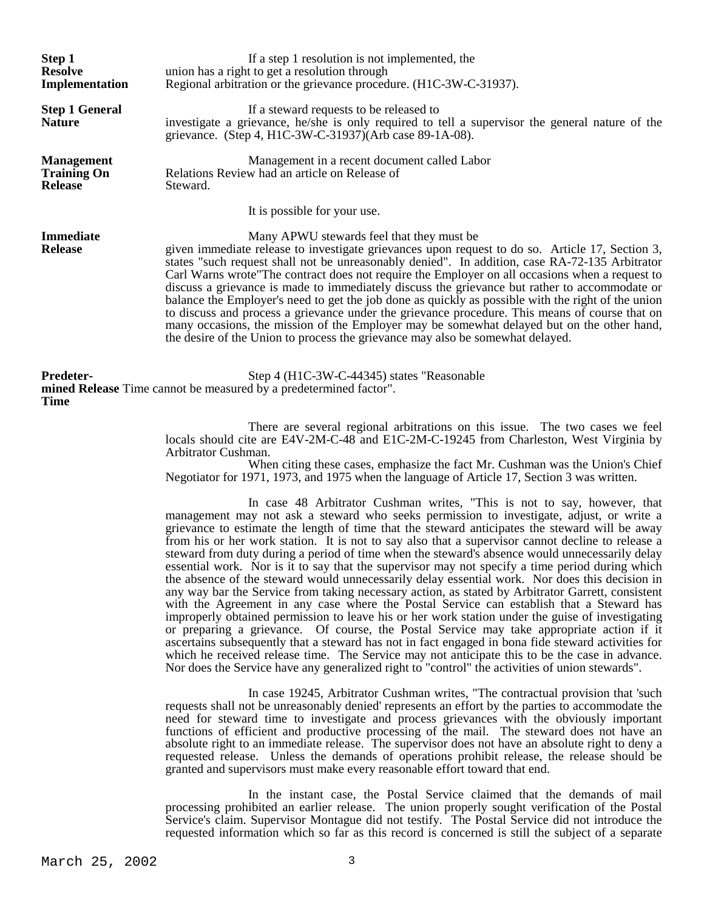| Step 1<br><b>Resolve</b><br>Implementation                | If a step 1 resolution is not implemented, the<br>union has a right to get a resolution through<br>Regional arbitration or the grievance procedure. (H1C-3W-C-31937).                                                                                                                                                                                                                                                                                                                                                                                                                                                                                                                                                                                                                                                                      |  |
|-----------------------------------------------------------|--------------------------------------------------------------------------------------------------------------------------------------------------------------------------------------------------------------------------------------------------------------------------------------------------------------------------------------------------------------------------------------------------------------------------------------------------------------------------------------------------------------------------------------------------------------------------------------------------------------------------------------------------------------------------------------------------------------------------------------------------------------------------------------------------------------------------------------------|--|
| <b>Step 1 General</b><br><b>Nature</b>                    | If a steward requests to be released to<br>investigate a grievance, he/she is only required to tell a supervisor the general nature of the<br>grievance. (Step 4, H1C-3W-C-31937)(Arb case 89-1A-08).                                                                                                                                                                                                                                                                                                                                                                                                                                                                                                                                                                                                                                      |  |
| <b>Management</b><br><b>Training On</b><br><b>Release</b> | Management in a recent document called Labor<br>Relations Review had an article on Release of<br>Steward.                                                                                                                                                                                                                                                                                                                                                                                                                                                                                                                                                                                                                                                                                                                                  |  |
|                                                           | It is possible for your use.                                                                                                                                                                                                                                                                                                                                                                                                                                                                                                                                                                                                                                                                                                                                                                                                               |  |
| <b>Immediate</b><br><b>Release</b>                        | Many APWU stewards feel that they must be<br>given immediate release to investigate grievances upon request to do so. Article 17, Section 3,<br>states "such request shall not be unreasonably denied". In addition, case RA-72-135 Arbitrator<br>Carl Warns wrote "The contract does not require the Employer on all occasions when a request to<br>discuss a grievance is made to immediately discuss the grievance but rather to accommodate or<br>balance the Employer's need to get the job done as quickly as possible with the right of the union<br>to discuss and process a grievance under the grievance procedure. This means of course that on<br>many occasions, the mission of the Employer may be somewhat delayed but on the other hand,<br>the desire of the Union to process the grievance may also be somewhat delayed. |  |
| <b>Predeter-</b><br><b>Time</b>                           | Step 4 (H1C-3W-C-44345) states "Reasonable<br>mined Release Time cannot be measured by a predetermined factor".                                                                                                                                                                                                                                                                                                                                                                                                                                                                                                                                                                                                                                                                                                                            |  |
|                                                           | There are several regional arbitrations on this issue. The two cases we feel<br>locals should cite are E4V-2M-C-48 and E1C-2M-C-19245 from Charleston, West Virginia by<br>Arbitrator Cushman.<br>When eiting these eases emphasize the feet Mr. Cushman was the Union's Chief                                                                                                                                                                                                                                                                                                                                                                                                                                                                                                                                                             |  |

 When citing these cases, emphasize the fact Mr. Cushman was the Union's Chief Negotiator for 1971, 1973, and 1975 when the language of Article 17, Section 3 was written.

 In case 48 Arbitrator Cushman writes, "This is not to say, however, that management may not ask a steward who seeks permission to investigate, adjust, or write a grievance to estimate the length of time that the steward anticipates the steward will be away from his or her work station. It is not to say also that a supervisor cannot decline to release a steward from duty during a period of time when the steward's absence would unnecessarily delay essential work. Nor is it to say that the supervisor may not specify a time period during which the absence of the steward would unnecessarily delay essential work. Nor does this decision in any way bar the Service from taking necessary action, as stated by Arbitrator Garrett, consistent with the Agreement in any case where the Postal Service can establish that a Steward has improperly obtained permission to leave his or her work station under the guise of investigating or preparing a grievance. Of course, the Postal Service may take appropriate action if it ascertains subsequently that a steward has not in fact engaged in bona fide steward activities for which he received release time. The Service may not anticipate this to be the case in advance. Nor does the Service have any generalized right to "control" the activities of union stewards".

 In case 19245, Arbitrator Cushman writes, "The contractual provision that 'such requests shall not be unreasonably denied' represents an effort by the parties to accommodate the need for steward time to investigate and process grievances with the obviously important functions of efficient and productive processing of the mail. The steward does not have an absolute right to an immediate release. The supervisor does not have an absolute right to deny a requested release. Unless the demands of operations prohibit release, the release should be granted and supervisors must make every reasonable effort toward that end.

 In the instant case, the Postal Service claimed that the demands of mail processing prohibited an earlier release. The union properly sought verification of the Postal Service's claim. Supervisor Montague did not testify. The Postal Service did not introduce the requested information which so far as this record is concerned is still the subject of a separate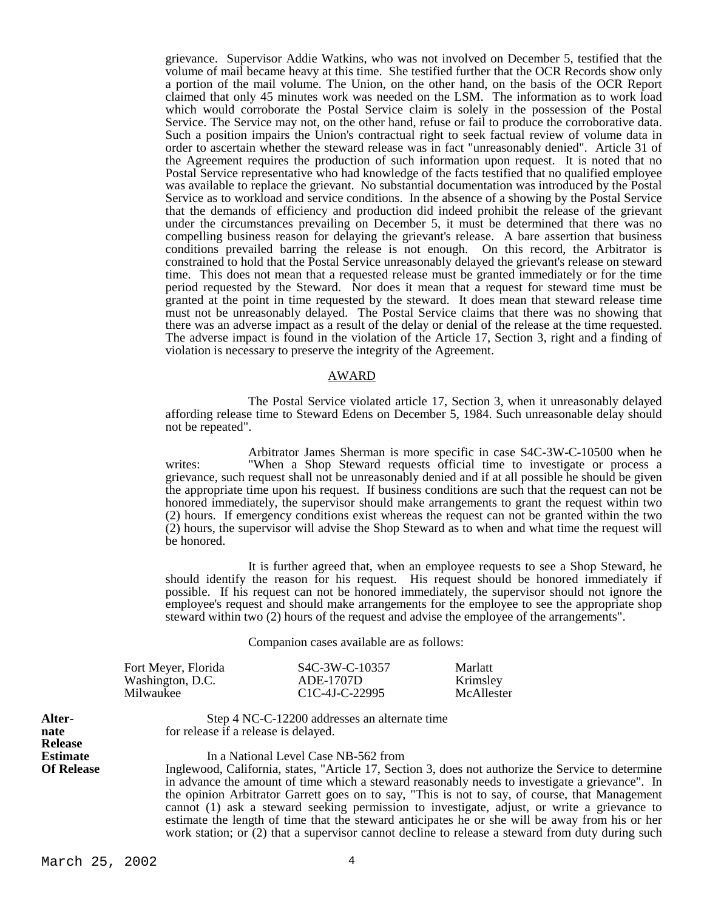grievance. Supervisor Addie Watkins, who was not involved on December 5, testified that the volume of mail became heavy at this time. She testified further that the OCR Records show only a portion of the mail volume. The Union, on the other hand, on the basis of the OCR Report claimed that only 45 minutes work was needed on the LSM. The information as to work load which would corroborate the Postal Service claim is solely in the possession of the Postal Service. The Service may not, on the other hand, refuse or fail to produce the corroborative data. Such a position impairs the Union's contractual right to seek factual review of volume data in order to ascertain whether the steward release was in fact "unreasonably denied". Article 31 of the Agreement requires the production of such information upon request. It is noted that no Postal Service representative who had knowledge of the facts testified that no qualified employee was available to replace the grievant. No substantial documentation was introduced by the Postal Service as to workload and service conditions. In the absence of a showing by the Postal Service that the demands of efficiency and production did indeed prohibit the release of the grievant under the circumstances prevailing on December 5, it must be determined that there was no compelling business reason for delaying the grievant's release. A bare assertion that business conditions prevailed barring the release is not enough. On this record, the Arbitrator is constrained to hold that the Postal Service unreasonably delayed the grievant's release on steward time. This does not mean that a requested release must be granted immediately or for the time period requested by the Steward. Nor does it mean that a request for steward time must be granted at the point in time requested by the steward. It does mean that steward release time must not be unreasonably delayed. The Postal Service claims that there was no showing that there was an adverse impact as a result of the delay or denial of the release at the time requested. The adverse impact is found in the violation of the Article 17, Section 3, right and a finding of violation is necessary to preserve the integrity of the Agreement.

### AWARD

 The Postal Service violated article 17, Section 3, when it unreasonably delayed affording release time to Steward Edens on December 5, 1984. Such unreasonable delay should not be repeated".

 Arbitrator James Sherman is more specific in case S4C-3W-C-10500 when he writes: "When a Shop Steward requests official time to investigate or process a grievance, such request shall not be unreasonably denied and if at all possible he should be given the appropriate time upon his request. If business conditions are such that the request can not be honored immediately, the supervisor should make arrangements to grant the request within two (2) hours. If emergency conditions exist whereas the request can not be granted within the two (2) hours, the supervisor will advise the Shop Steward as to when and what time the request will be honored.

 It is further agreed that, when an employee requests to see a Shop Steward, he should identify the reason for his request. His request should be honored immediately if possible. If his request can not be honored immediately, the supervisor should not ignore the employee's request and should make arrangements for the employee to see the appropriate shop steward within two (2) hours of the request and advise the employee of the arrangements".

Companion cases available are as follows:

| Fort Meyer, Florida | S <sub>4</sub> C-3W-C-10357 | Marlatt    |
|---------------------|-----------------------------|------------|
| Washington, D.C.    | ADE-1707D                   | Krimsley   |
| Milwaukee           | $C1C-4J-C-22995$            | McAllester |

**Release**

**Alter-** Step 4 NC-C-12200 addresses an alternate time **nate** for release if a release is delayed.

**Estimate** In a National Level Case NB-562 from<br> **Of Release** Inglewood, California, states, "Article 17, Sect **Of Release** Inglewood, California, states, "Article 17, Section 3, does not authorize the Service to determine in advance the amount of time which a steward reasonably needs to investigate a grievance". In the opinion Arbitrator Garrett goes on to say, "This is not to say, of course, that Management cannot (1) ask a steward seeking permission to investigate, adjust, or write a grievance to estimate the length of time that the steward anticipates he or she will be away from his or her work station; or  $(2)$  that a supervisor cannot decline to release a steward from duty during such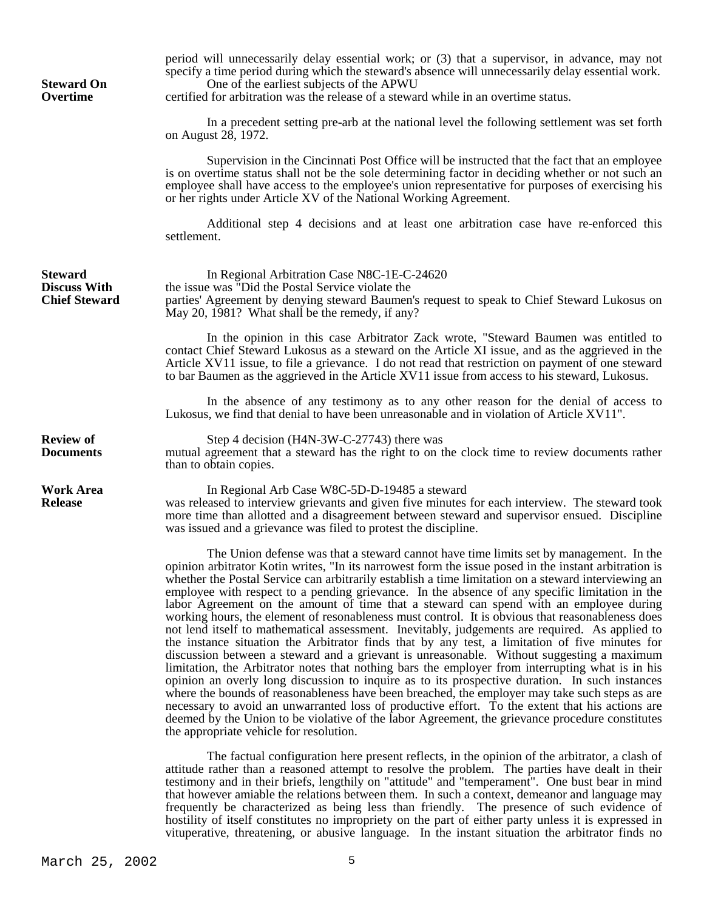| <b>Steward On</b><br>Overtime                                 | period will unnecessarily delay essential work; or (3) that a supervisor, in advance, may not<br>specify a time period during which the steward's absence will unnecessarily delay essential work.<br>One of the earliest subjects of the APWU<br>certified for arbitration was the release of a steward while in an overtime status.                                                                                                                                                                                                                                                                                                                                                                                                                                                                                                                                                                                                                                                                                                                                                                                                                                                                                                                                                                                                                                                                                                                            |
|---------------------------------------------------------------|------------------------------------------------------------------------------------------------------------------------------------------------------------------------------------------------------------------------------------------------------------------------------------------------------------------------------------------------------------------------------------------------------------------------------------------------------------------------------------------------------------------------------------------------------------------------------------------------------------------------------------------------------------------------------------------------------------------------------------------------------------------------------------------------------------------------------------------------------------------------------------------------------------------------------------------------------------------------------------------------------------------------------------------------------------------------------------------------------------------------------------------------------------------------------------------------------------------------------------------------------------------------------------------------------------------------------------------------------------------------------------------------------------------------------------------------------------------|
|                                                               | In a precedent setting pre-arb at the national level the following settlement was set forth<br>on August 28, 1972.                                                                                                                                                                                                                                                                                                                                                                                                                                                                                                                                                                                                                                                                                                                                                                                                                                                                                                                                                                                                                                                                                                                                                                                                                                                                                                                                               |
|                                                               | Supervision in the Cincinnati Post Office will be instructed that the fact that an employee<br>is on overtime status shall not be the sole determining factor in deciding whether or not such an<br>employee shall have access to the employee's union representative for purposes of exercising his<br>or her rights under Article XV of the National Working Agreement.                                                                                                                                                                                                                                                                                                                                                                                                                                                                                                                                                                                                                                                                                                                                                                                                                                                                                                                                                                                                                                                                                        |
|                                                               | Additional step 4 decisions and at least one arbitration case have re-enforced this<br>settlement.                                                                                                                                                                                                                                                                                                                                                                                                                                                                                                                                                                                                                                                                                                                                                                                                                                                                                                                                                                                                                                                                                                                                                                                                                                                                                                                                                               |
| <b>Steward</b><br><b>Discuss With</b><br><b>Chief Steward</b> | In Regional Arbitration Case N8C-1E-C-24620<br>the issue was "Did the Postal Service violate the<br>parties' Agreement by denying steward Baumen's request to speak to Chief Steward Lukosus on<br>May 20, 1981? What shall be the remedy, if any?                                                                                                                                                                                                                                                                                                                                                                                                                                                                                                                                                                                                                                                                                                                                                                                                                                                                                                                                                                                                                                                                                                                                                                                                               |
|                                                               | In the opinion in this case Arbitrator Zack wrote, "Steward Baumen was entitled to<br>contact Chief Steward Lukosus as a steward on the Article XI issue, and as the aggrieved in the<br>Article XV11 issue, to file a grievance. I do not read that restriction on payment of one steward<br>to bar Baumen as the aggrieved in the Article XV11 issue from access to his steward, Lukosus.                                                                                                                                                                                                                                                                                                                                                                                                                                                                                                                                                                                                                                                                                                                                                                                                                                                                                                                                                                                                                                                                      |
|                                                               | In the absence of any testimony as to any other reason for the denial of access to<br>Lukosus, we find that denial to have been unreasonable and in violation of Article XV11".                                                                                                                                                                                                                                                                                                                                                                                                                                                                                                                                                                                                                                                                                                                                                                                                                                                                                                                                                                                                                                                                                                                                                                                                                                                                                  |
| <b>Review of</b><br><b>Documents</b>                          | Step 4 decision (H4N-3W-C-27743) there was<br>mutual agreement that a steward has the right to on the clock time to review documents rather<br>than to obtain copies.                                                                                                                                                                                                                                                                                                                                                                                                                                                                                                                                                                                                                                                                                                                                                                                                                                                                                                                                                                                                                                                                                                                                                                                                                                                                                            |
| <b>Work Area</b><br><b>Release</b>                            | In Regional Arb Case W8C-5D-D-19485 a steward<br>was released to interview grievants and given five minutes for each interview. The steward took<br>more time than allotted and a disagreement between steward and supervisor ensued. Discipline<br>was issued and a grievance was filed to protest the discipline.                                                                                                                                                                                                                                                                                                                                                                                                                                                                                                                                                                                                                                                                                                                                                                                                                                                                                                                                                                                                                                                                                                                                              |
|                                                               | The Union defense was that a steward cannot have time limits set by management. In the<br>opinion arbitrator Kotin writes, "In its narrowest form the issue posed in the instant arbitration is<br>whether the Postal Service can arbitrarily establish a time limitation on a steward interviewing an<br>employee with respect to a pending grievance. In the absence of any specific limitation in the<br>labor Agreement on the amount of time that a steward can spend with an employee during<br>working hours, the element of resonableness must control. It is obvious that reasonableness does<br>not lend itself to mathematical assessment. Inevitably, judgements are required. As applied to<br>the instance situation the Arbitrator finds that by any test, a limitation of five minutes for<br>discussion between a steward and a grievant is unreasonable. Without suggesting a maximum<br>limitation, the Arbitrator notes that nothing bars the employer from interrupting what is in his<br>opinion an overly long discussion to inquire as to its prospective duration. In such instances<br>where the bounds of reasonableness have been breached, the employer may take such steps as are<br>necessary to avoid an unwarranted loss of productive effort. To the extent that his actions are<br>deemed by the Union to be violative of the labor Agreement, the grievance procedure constitutes<br>the appropriate vehicle for resolution. |
|                                                               |                                                                                                                                                                                                                                                                                                                                                                                                                                                                                                                                                                                                                                                                                                                                                                                                                                                                                                                                                                                                                                                                                                                                                                                                                                                                                                                                                                                                                                                                  |

period will unnecessarily delay essential work; or (3) that a supervisor, in advance, may not

 The factual configuration here present reflects, in the opinion of the arbitrator, a clash of attitude rather than a reasoned attempt to resolve the problem. The parties have dealt in their testimony and in their briefs, lengthily on "attitude" and "temperament". One bust bear in mind that however amiable the relations between them. In such a context, demeanor and language may frequently be characterized as being less than friendly. The presence of such evidence of hostility of itself constitutes no impropriety on the part of either party unless it is expressed in vituperative, threatening, or abusive language. In the instant situation the arbitrator finds no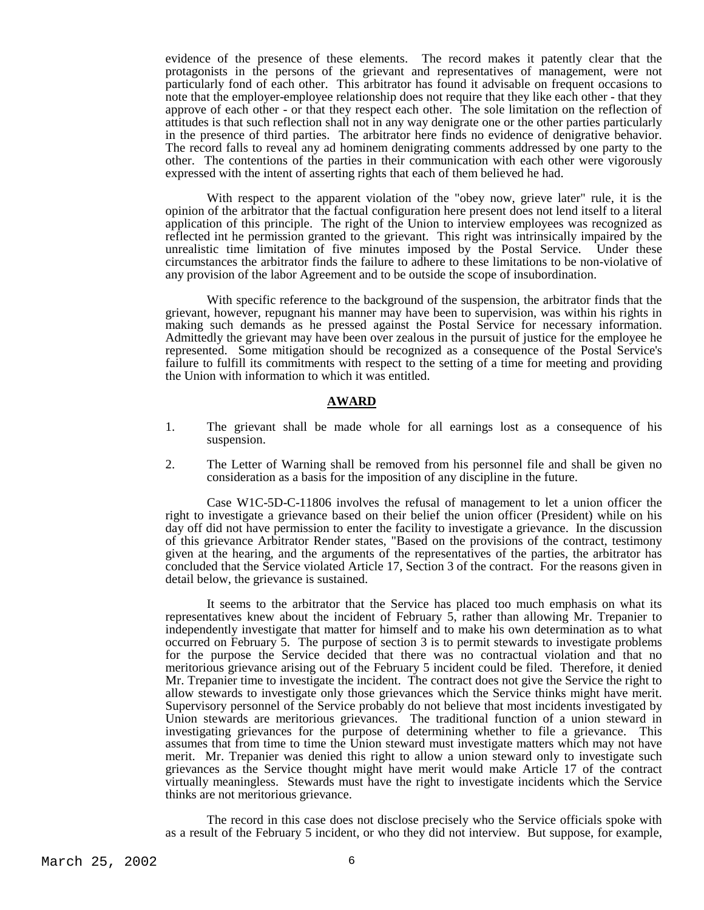evidence of the presence of these elements. The record makes it patently clear that the protagonists in the persons of the grievant and representatives of management, were not particularly fond of each other. This arbitrator has found it advisable on frequent occasions to note that the employer-employee relationship does not require that they like each other - that they approve of each other - or that they respect each other. The sole limitation on the reflection of attitudes is that such reflection shall not in any way denigrate one or the other parties particularly in the presence of third parties. The arbitrator here finds no evidence of denigrative behavior. The record falls to reveal any ad hominem denigrating comments addressed by one party to the other. The contentions of the parties in their communication with each other were vigorously expressed with the intent of asserting rights that each of them believed he had.

 With respect to the apparent violation of the "obey now, grieve later" rule, it is the opinion of the arbitrator that the factual configuration here present does not lend itself to a literal application of this principle. The right of the Union to interview employees was recognized as reflected int he permission granted to the grievant. This right was intrinsically impaired by the unrealistic time limitation of five minutes imposed by the Postal Service. Under these circumstances the arbitrator finds the failure to adhere to these limitations to be non-violative of any provision of the labor Agreement and to be outside the scope of insubordination.

 With specific reference to the background of the suspension, the arbitrator finds that the grievant, however, repugnant his manner may have been to supervision, was within his rights in making such demands as he pressed against the Postal Service for necessary information. Admittedly the grievant may have been over zealous in the pursuit of justice for the employee he represented. Some mitigation should be recognized as a consequence of the Postal Service's failure to fulfill its commitments with respect to the setting of a time for meeting and providing the Union with information to which it was entitled.

# **AWARD**

- 1. The grievant shall be made whole for all earnings lost as a consequence of his suspension.
- 2. The Letter of Warning shall be removed from his personnel file and shall be given no consideration as a basis for the imposition of any discipline in the future.

 Case W1C-5D-C-11806 involves the refusal of management to let a union officer the right to investigate a grievance based on their belief the union officer (President) while on his day off did not have permission to enter the facility to investigate a grievance. In the discussion of this grievance Arbitrator Render states, "Based on the provisions of the contract, testimony given at the hearing, and the arguments of the representatives of the parties, the arbitrator has concluded that the Service violated Article 17, Section 3 of the contract. For the reasons given in detail below, the grievance is sustained.

 It seems to the arbitrator that the Service has placed too much emphasis on what its representatives knew about the incident of February 5, rather than allowing Mr. Trepanier to independently investigate that matter for himself and to make his own determination as to what occurred on February 5. The purpose of section 3 is to permit stewards to investigate problems for the purpose the Service decided that there was no contractual violation and that no meritorious grievance arising out of the February 5 incident could be filed. Therefore, it denied Mr. Trepanier time to investigate the incident. The contract does not give the Service the right to allow stewards to investigate only those grievances which the Service thinks might have merit. Supervisory personnel of the Service probably do not believe that most incidents investigated by Union stewards are meritorious grievances. The traditional function of a union steward in investigating grievances for the purpose of determining whether to file a grievance. This assumes that from time to time the Union steward must investigate matters which may not have merit. Mr. Trepanier was denied this right to allow a union steward only to investigate such grievances as the Service thought might have merit would make Article 17 of the contract virtually meaningless. Stewards must have the right to investigate incidents which the Service thinks are not meritorious grievance.

 The record in this case does not disclose precisely who the Service officials spoke with as a result of the February 5 incident, or who they did not interview. But suppose, for example,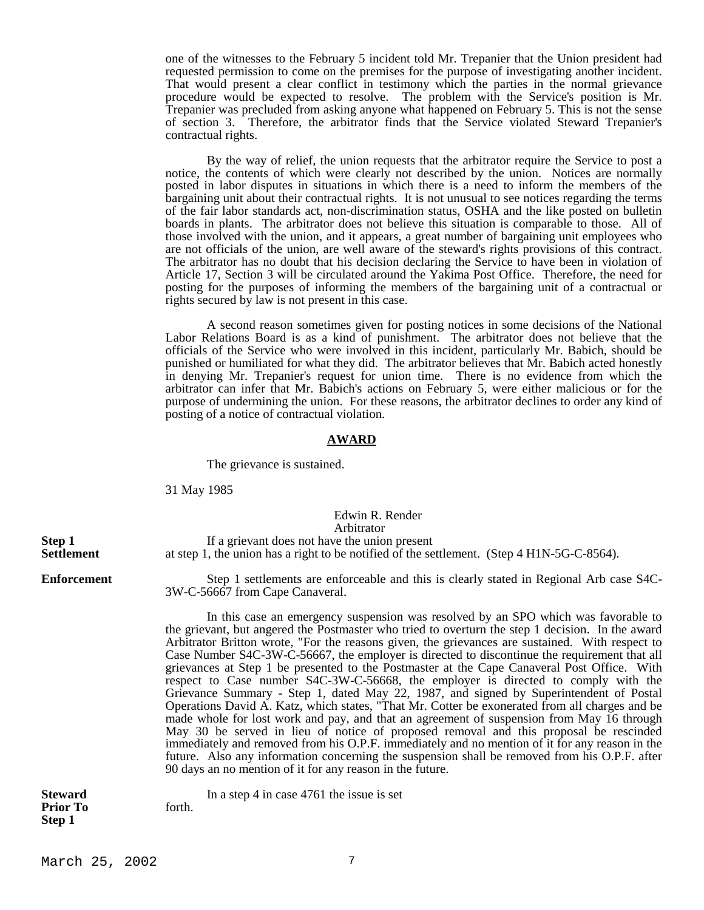one of the witnesses to the February 5 incident told Mr. Trepanier that the Union president had requested permission to come on the premises for the purpose of investigating another incident. That would present a clear conflict in testimony which the parties in the normal grievance procedure would be expected to resolve. The problem with the Service's position is Mr. Trepanier was precluded from asking anyone what happened on February 5. This is not the sense of section 3. Therefore, the arbitrator finds that the Service violated Steward Trepanier's contractual rights.

 By the way of relief, the union requests that the arbitrator require the Service to post a notice, the contents of which were clearly not described by the union. Notices are normally posted in labor disputes in situations in which there is a need to inform the members of the bargaining unit about their contractual rights. It is not unusual to see notices regarding the terms of the fair labor standards act, non-discrimination status, OSHA and the like posted on bulletin boards in plants. The arbitrator does not believe this situation is comparable to those. All of those involved with the union, and it appears, a great number of bargaining unit employees who are not officials of the union, are well aware of the steward's rights provisions of this contract. The arbitrator has no doubt that his decision declaring the Service to have been in violation of Article 17, Section 3 will be circulated around the Yakima Post Office. Therefore, the need for posting for the purposes of informing the members of the bargaining unit of a contractual or rights secured by law is not present in this case.

 A second reason sometimes given for posting notices in some decisions of the National Labor Relations Board is as a kind of punishment. The arbitrator does not believe that the officials of the Service who were involved in this incident, particularly Mr. Babich, should be punished or humiliated for what they did. The arbitrator believes that Mr. Babich acted honestly in denying Mr. Trepanier's request for union time. There is no evidence from which the arbitrator can infer that Mr. Babich's actions on February 5, were either malicious or for the purpose of undermining the union. For these reasons, the arbitrator declines to order any kind of posting of a notice of contractual violation.

# **AWARD**

The grievance is sustained.

31 May 1985

# Edwin R. Render Arbitrator **Step 1** If a grievant does not have the union present<br>**Settlement** at step 1, the union has a right to be notified of the se at step 1, the union has a right to be notified of the settlement. (Step 4 H1N-5G-C-8564).

**Enforcement** Step 1 settlements are enforceable and this is clearly stated in Regional Arb case S4C-3W-C-56667 from Cape Canaveral.

> In this case an emergency suspension was resolved by an SPO which was favorable to the grievant, but angered the Postmaster who tried to overturn the step 1 decision. In the award Arbitrator Britton wrote, "For the reasons given, the grievances are sustained. With respect to Case Number S4C-3W-C-56667, the employer is directed to discontinue the requirement that all grievances at Step 1 be presented to the Postmaster at the Cape Canaveral Post Office. With respect to Case number S4C-3W-C-56668, the employer is directed to comply with the Grievance Summary - Step 1, dated May 22, 1987, and signed by Superintendent of Postal Operations David A. Katz, which states, "That Mr. Cotter be exonerated from all charges and be made whole for lost work and pay, and that an agreement of suspension from May 16 through May 30 be served in lieu of notice of proposed removal and this proposal be rescinded immediately and removed from his O.P.F. immediately and no mention of it for any reason in the future. Also any information concerning the suspension shall be removed from his O.P.F. after 90 days an no mention of it for any reason in the future.

**Prior To** forth. **Step 1**

**Steward** In a step 4 in case 4761 the issue is set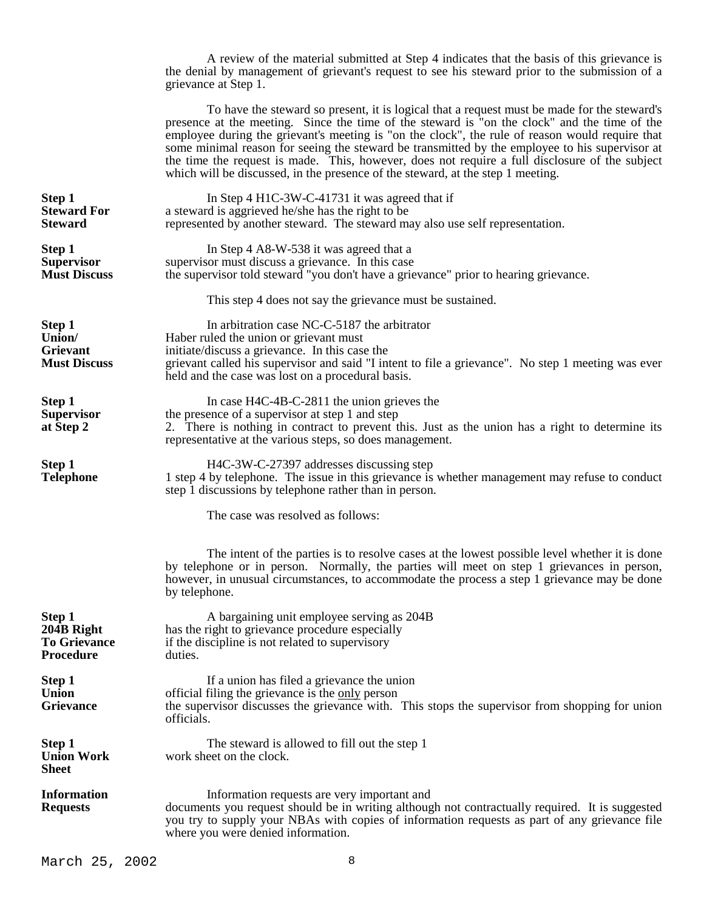A review of the material submitted at Step 4 indicates that the basis of this grievance is the denial by management of grievant's request to see his steward prior to the submission of a grievance at Step 1.

 To have the steward so present, it is logical that a request must be made for the steward's presence at the meeting. Since the time of the steward is "on the clock" and the time of the employee during the grievant's meeting is "on the clock", the rule of reason would require that some minimal reason for seeing the steward be transmitted by the employee to his supervisor at the time the request is made. This, however, does not require a full disclosure of the subject which will be discussed, in the presence of the steward, at the step 1 meeting.

| Step 1<br><b>Steward For</b><br><b>Steward</b>                  | In Step 4 H1C-3W-C-41731 it was agreed that if<br>a steward is aggrieved he/she has the right to be<br>represented by another steward. The steward may also use self representation.                                                                                                                         |  |
|-----------------------------------------------------------------|--------------------------------------------------------------------------------------------------------------------------------------------------------------------------------------------------------------------------------------------------------------------------------------------------------------|--|
| <b>Step 1</b><br><b>Supervisor</b><br><b>Must Discuss</b>       | In Step 4 A8-W-538 it was agreed that a<br>supervisor must discuss a grievance. In this case<br>the supervisor told steward "you don't have a grievance" prior to hearing grievance.                                                                                                                         |  |
|                                                                 | This step 4 does not say the grievance must be sustained.                                                                                                                                                                                                                                                    |  |
| Step 1<br>Union/<br>Grievant<br><b>Must Discuss</b>             | In arbitration case NC-C-5187 the arbitrator<br>Haber ruled the union or grievant must<br>initiate/discuss a grievance. In this case the<br>grievant called his supervisor and said "I intent to file a grievance". No step 1 meeting was ever<br>held and the case was lost on a procedural basis.          |  |
| Step 1<br><b>Supervisor</b><br>at Step 2                        | In case $H4C-4B-C-2811$ the union grieves the<br>the presence of a supervisor at step 1 and step<br>2. There is nothing in contract to prevent this. Just as the union has a right to determine its<br>representative at the various steps, so does management.                                              |  |
| Step 1<br><b>Telephone</b>                                      | H4C-3W-C-27397 addresses discussing step<br>1 step 4 by telephone. The issue in this grievance is whether management may refuse to conduct<br>step 1 discussions by telephone rather than in person.                                                                                                         |  |
|                                                                 | The case was resolved as follows:                                                                                                                                                                                                                                                                            |  |
|                                                                 | The intent of the parties is to resolve cases at the lowest possible level whether it is done<br>by telephone or in person. Normally, the parties will meet on step 1 grievances in person,<br>however, in unusual circumstances, to accommodate the process a step 1 grievance may be done<br>by telephone. |  |
| Step 1<br>204B Right<br><b>To Grievance</b><br><b>Procedure</b> | A bargaining unit employee serving as 204B<br>has the right to grievance procedure especially<br>if the discipline is not related to supervisory<br>duties.                                                                                                                                                  |  |
| Step 1<br><b>Union</b><br>Grievance                             | If a union has filed a grievance the union<br>official filing the grievance is the only person<br>the supervisor discusses the grievance with. This stops the supervisor from shopping for union<br>officials.                                                                                               |  |
| Step 1<br><b>Union Work</b><br><b>Sheet</b>                     | The steward is allowed to fill out the step 1<br>work sheet on the clock.                                                                                                                                                                                                                                    |  |
| <b>Information</b><br><b>Requests</b>                           | Information requests are very important and<br>documents you request should be in writing although not contractually required. It is suggested<br>you try to supply your NBAs with copies of information requests as part of any grievance file<br>where you were denied information.                        |  |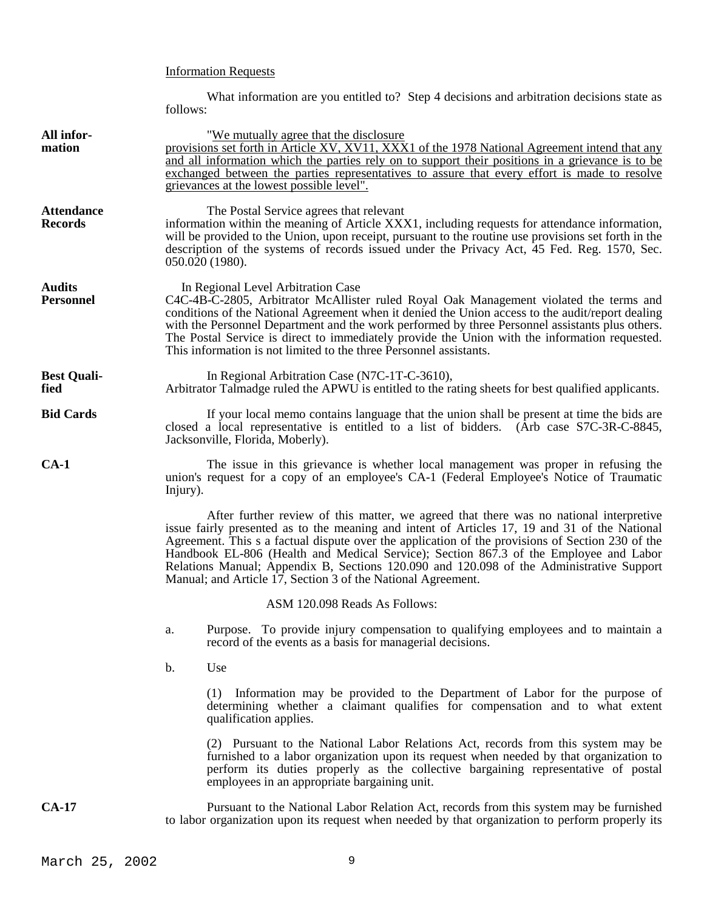# Information Requests

What information are you entitled to? Step 4 decisions and arbitration decisions state as follows:

| All infor-<br>mation                | "We mutually agree that the disclosure"<br>provisions set forth in Article XV, XV11, XXX1 of the 1978 National Agreement intend that any<br>and all information which the parties rely on to support their positions in a grievance is to be<br>exchanged between the parties representatives to assure that every effort is made to resolve<br>grievances at the lowest possible level".                                                                                                                                                        |  |  |
|-------------------------------------|--------------------------------------------------------------------------------------------------------------------------------------------------------------------------------------------------------------------------------------------------------------------------------------------------------------------------------------------------------------------------------------------------------------------------------------------------------------------------------------------------------------------------------------------------|--|--|
| <b>Attendance</b><br><b>Records</b> | The Postal Service agrees that relevant<br>information within the meaning of Article XXX1, including requests for attendance information,<br>will be provided to the Union, upon receipt, pursuant to the routine use provisions set forth in the<br>description of the systems of records issued under the Privacy Act, 45 Fed. Reg. 1570, Sec.<br>050.020 (1980).                                                                                                                                                                              |  |  |
| <b>Audits</b><br><b>Personnel</b>   | In Regional Level Arbitration Case<br>C4C-4B-C-2805, Arbitrator McAllister ruled Royal Oak Management violated the terms and<br>conditions of the National Agreement when it denied the Union access to the audit/report dealing<br>with the Personnel Department and the work performed by three Personnel assistants plus others.<br>The Postal Service is direct to immediately provide the Union with the information requested.<br>This information is not limited to the three Personnel assistants.                                       |  |  |
| <b>Best Quali-</b><br>fied          | In Regional Arbitration Case (N7C-1T-C-3610),<br>Arbitrator Talmadge ruled the APWU is entitled to the rating sheets for best qualified applicants.                                                                                                                                                                                                                                                                                                                                                                                              |  |  |
| <b>Bid Cards</b>                    | If your local memo contains language that the union shall be present at time the bids are<br>closed a local representative is entitled to a list of bidders. (Arb case S7C-3R-C-8845,<br>Jacksonville, Florida, Moberly).                                                                                                                                                                                                                                                                                                                        |  |  |
| $CA-1$                              | The issue in this grievance is whether local management was proper in refusing the<br>union's request for a copy of an employee's CA-1 (Federal Employee's Notice of Traumatic<br>Injury).                                                                                                                                                                                                                                                                                                                                                       |  |  |
|                                     | After further review of this matter, we agreed that there was no national interpretive<br>issue fairly presented as to the meaning and intent of Articles 17, 19 and 31 of the National<br>Agreement. This s a factual dispute over the application of the provisions of Section 230 of the<br>Handbook EL-806 (Health and Medical Service); Section 867.3 of the Employee and Labor<br>Relations Manual; Appendix B, Sections 120.090 and 120.098 of the Administrative Support<br>Manual; and Article 17, Section 3 of the National Agreement. |  |  |
|                                     | ASM 120.098 Reads As Follows:                                                                                                                                                                                                                                                                                                                                                                                                                                                                                                                    |  |  |
|                                     | Purpose. To provide injury compensation to qualifying employees and to maintain a<br>a.<br>record of the events as a basis for managerial decisions.                                                                                                                                                                                                                                                                                                                                                                                             |  |  |
|                                     | b.<br>Use                                                                                                                                                                                                                                                                                                                                                                                                                                                                                                                                        |  |  |
|                                     | (1) Information may be provided to the Department of Labor for the purpose of<br>determining whether a claimant qualifies for compensation and to what extent<br>qualification applies.                                                                                                                                                                                                                                                                                                                                                          |  |  |
|                                     | (2) Pursuant to the National Labor Relations Act, records from this system may be<br>furnished to a labor organization upon its request when needed by that organization to<br>perform its duties properly as the collective bargaining representative of postal<br>employees in an appropriate bargaining unit.                                                                                                                                                                                                                                 |  |  |
| $CA-17$                             | Pursuant to the National Labor Relation Act, records from this system may be furnished<br>to labor organization upon its request when needed by that organization to perform properly its                                                                                                                                                                                                                                                                                                                                                        |  |  |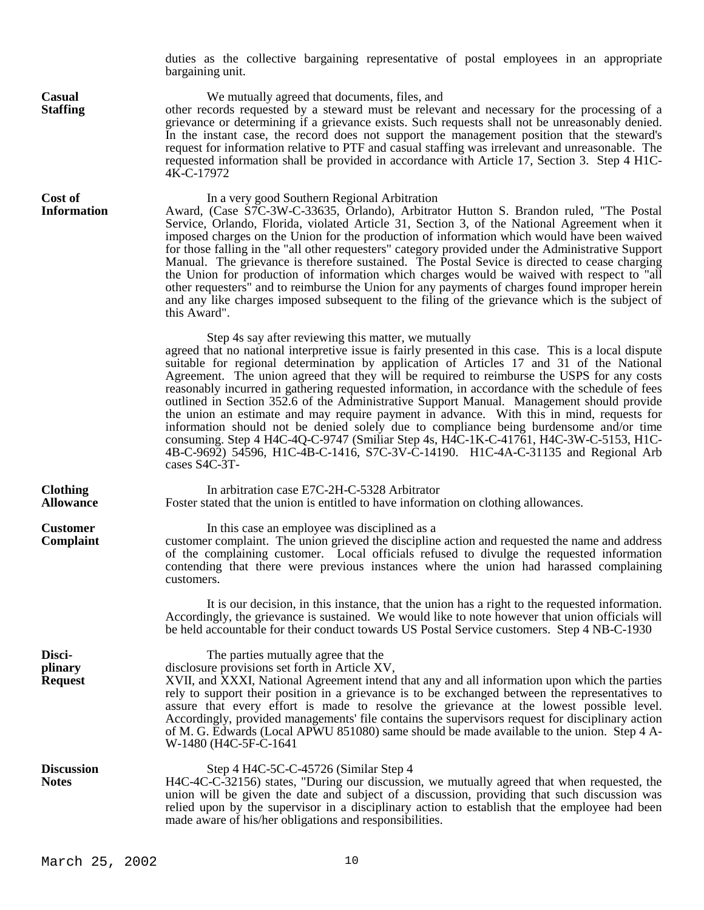duties as the collective bargaining representative of postal employees in an appropriate bargaining unit. **Casual** We mutually agreed that documents, files, and **Staffing** other records requested by a steward must be relevant other records requested by a steward must be relevant and necessary for the processing of a grievance or determining if a grievance exists. Such requests shall not be unreasonably denied. In the instant case, the record does not support the management position that the steward's request for information relative to PTF and casual staffing was irrelevant and unreasonable. The requested information shall be provided in accordance with Article 17, Section 3. Step 4 H1C-4K-C-17972 **Cost of** In a very good Southern Regional Arbitration **Information** Award, (Case S7C-3W-C-33635, Orlando), Arbitrator Hutton S. Brandon ruled, "The Postal Service, Orlando, Florida, violated Article 31, Section 3, of the National Agreement when it imposed charges on the Union for the production of information which would have been waived for those falling in the "all other requesters" category provided under the Administrative Support Manual. The grievance is therefore sustained. The Postal Sevice is directed to cease charging the Union for production of information which charges would be waived with respect to "all other requesters" and to reimburse the Union for any payments of charges found improper herein and any like charges imposed subsequent to the filing of the grievance which is the subject of this Award". Step 4s say after reviewing this matter, we mutually agreed that no national interpretive issue is fairly presented in this case. This is a local dispute suitable for regional determination by application of Articles 17 and 31 of the National Agreement. The union agreed that they will be required to reimburse the USPS for any costs reasonably incurred in gathering requested information, in accordance with the schedule of fees outlined in Section 352.6 of the Administrative Support Manual. Management should provide the union an estimate and may require payment in advance. With this in mind, requests for information should not be denied solely due to compliance being burdensome and/or time consuming. Step 4 H4C-4Q-C-9747 (Smiliar Step 4s, H4C-1K-C-41761, H4C-3W-C-5153, H1C-4B-C-9692) 54596, H1C-4B-C-1416, S7C-3V-C-14190. H1C-4A-C-31135 and Regional Arb cases S4C-3T-**Clothing** In arbitration case E7C-2H-C-5328 Arbitrator **Allowance** Foster stated that the union is entitled to have information on clothing allowances. **Customer** In this case an employee was disciplined as a **Complaint** customer complaint. The union grieved the discipline action and requested the name and address of the complaining customer. Local officials refused to divulge the requested information contending that there were previous instances where the union had harassed complaining customers. It is our decision, in this instance, that the union has a right to the requested information. Accordingly, the grievance is sustained. We would like to note however that union officials will be held accountable for their conduct towards US Postal Service customers. Step 4 NB-C-1930 **Disci-** The parties mutually agree that the **plinary** disclosure provisions set forth in Article XV, **Request** XVII, and XXXI, National Agreement intend that any and all information upon which the parties rely to support their position in a grievance is to be exchanged between the representatives to assure that every effort is made to resolve the grievance at the lowest possible level. Accordingly, provided managements' file contains the supervisors request for disciplinary action of M. G. Edwards (Local APWU 851080) same should be made available to the union. Step 4 A-W-1480 (H4C-5F-C-1641 Discussion Step 4 H4C-5C-C-45726 (Similar Step 4 **Notes** H4C-4C-C-32156) states, "During our discussion, we mutually agreed that when requested, the union will be given the date and subject of a discussion, providing that such discussion was relied upon by the supervisor in a disciplinary action to establish that the employee had been made aware of his/her obligations and responsibilities.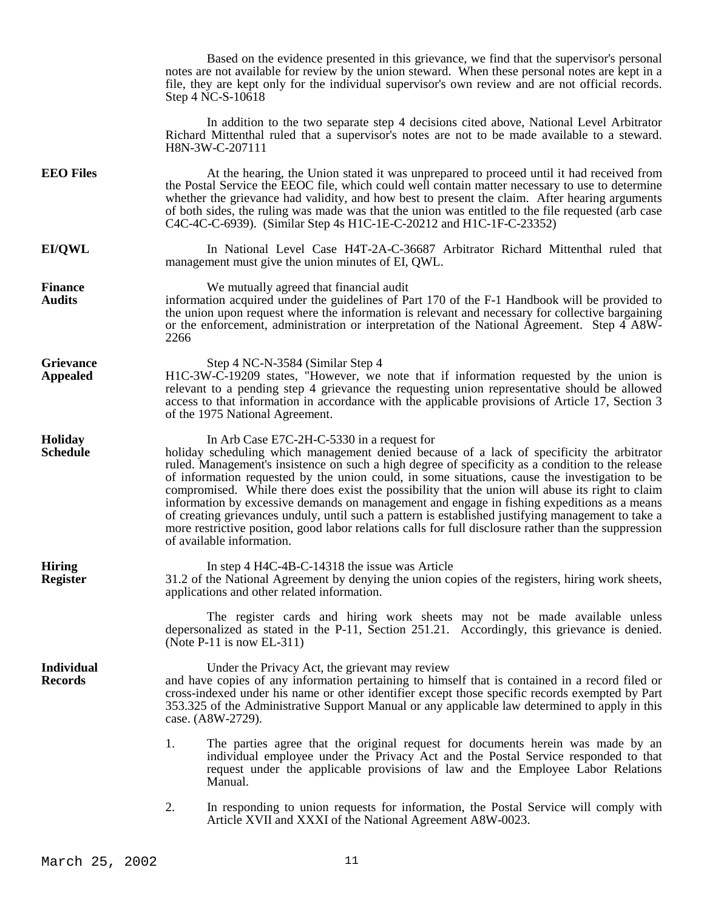Based on the evidence presented in this grievance, we find that the supervisor's personal notes are not available for review by the union steward. When these personal notes are kept in a file, they are kept only for the individual supervisor's own review and are not official records. Step 4 NC-S-10618 In addition to the two separate step 4 decisions cited above, National Level Arbitrator Richard Mittenthal ruled that a supervisor's notes are not to be made available to a steward. H8N-3W-C-207111 **EEO Files** At the hearing, the Union stated it was unprepared to proceed until it had received from the Postal Service the EEOC file, which could well contain matter necessary to use to determine whether the grievance had validity, and how best to present the claim. After hearing arguments of both sides, the ruling was made was that the union was entitled to the file requested (arb case C4C-4C-C-6939). (Similar Step 4s H1C-1E-C-20212 and H1C-1F-C-23352) **EI/QWL** In National Level Case H4T-2A-C-36687 Arbitrator Richard Mittenthal ruled that management must give the union minutes of EI, QWL. **Finance** We mutually agreed that financial audit **Audits** information acquired under the guidelines of Part 170 of the F-1 Handbook will be provided to the union upon request where the information is relevant and necessary for collective bargaining or the enforcement, administration or interpretation of the National Agreement. Step 4 A8W-2266 Grievance Step 4 NC-N-3584 (Similar Step 4 **Appealed** H1C-3W-C-19209 states, "However, we note that if information requested by the union is relevant to a pending step 4 grievance the requesting union representative should be allowed access to that information in accordance with the applicable provisions of Article 17, Section 3 of the 1975 National Agreement. **Holiday** In Arb Case E7C-2H-C-5330 in a request for<br>**Schedule** holiday scheduling which management denied because holiday scheduling which management denied because of a lack of specificity the arbitrator ruled. Management's insistence on such a high degree of specificity as a condition to the release of information requested by the union could, in some situations, cause the investigation to be compromised. While there does exist the possibility that the union will abuse its right to claim information by excessive demands on management and engage in fishing expeditions as a means of creating grievances unduly, until such a pattern is established justifying management to take a more restrictive position, good labor relations calls for full disclosure rather than the suppression of available information. **Hiring** In step 4 H4C-4B-C-14318 the issue was Article **Register** 31.2 of the National Agreement by denying the union copies of the registers, hiring work sheets, applications and other related information. The register cards and hiring work sheets may not be made available unless depersonalized as stated in the P-11, Section 251.21. Accordingly, this grievance is denied. (Note P-11 is now EL-311) **Individual** Under the Privacy Act, the grievant may review<br> **Records** and have copies of any information pertaining to hims and have copies of any information pertaining to himself that is contained in a record filed or cross-indexed under his name or other identifier except those specific records exempted by Part 353.325 of the Administrative Support Manual or any applicable law determined to apply in this case. (A8W-2729). 1. The parties agree that the original request for documents herein was made by an individual employee under the Privacy Act and the Postal Service responded to that request under the applicable provisions of law and the Employee Labor Relations Manual. 2. In responding to union requests for information, the Postal Service will comply with Article XVII and XXXI of the National Agreement A8W-0023.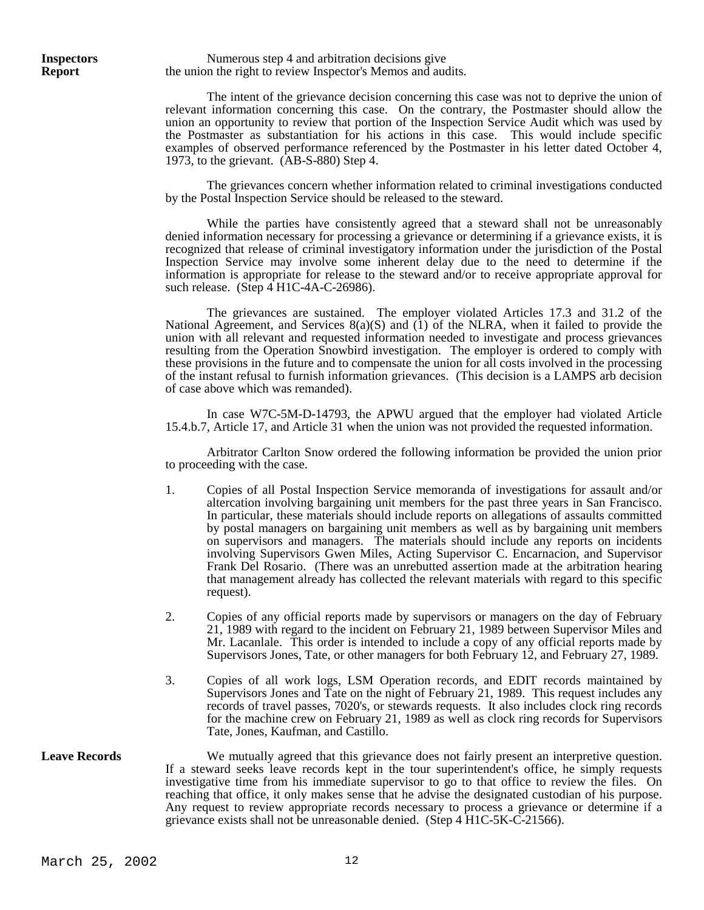**Inspectors** Numerous step 4 and arbitration decisions give **Report** the union the right to review Inspector's Memos and audits.

> The intent of the grievance decision concerning this case was not to deprive the union of relevant information concerning this case. On the contrary, the Postmaster should allow the union an opportunity to review that portion of the Inspection Service Audit which was used by the Postmaster as substantiation for his actions in this case. This would include specific examples of observed performance referenced by the Postmaster in his letter dated October 4, 1973, to the grievant. (AB-S-880) Step 4.

> The grievances concern whether information related to criminal investigations conducted by the Postal Inspection Service should be released to the steward.

> While the parties have consistently agreed that a steward shall not be unreasonably denied information necessary for processing a grievance or determining if a grievance exists, it is recognized that release of criminal investigatory information under the jurisdiction of the Postal Inspection Service may involve some inherent delay due to the need to determine if the information is appropriate for release to the steward and/or to receive appropriate approval for such release. (Step 4 H1C-4A-C-26986).

> The grievances are sustained. The employer violated Articles 17.3 and 31.2 of the National Agreement, and Services  $8(a)(S)$  and  $(1)$  of the NLRA, when it failed to provide the union with all relevant and requested information needed to investigate and process grievances resulting from the Operation Snowbird investigation. The employer is ordered to comply with these provisions in the future and to compensate the union for all costs involved in the processing of the instant refusal to furnish information grievances. (This decision is a LAMPS arb decision of case above which was remanded).

> In case W7C-5M-D-14793, the APWU argued that the employer had violated Article 15.4.b.7, Article 17, and Article 31 when the union was not provided the requested information.

> Arbitrator Carlton Snow ordered the following information be provided the union prior to proceeding with the case.

- 1. Copies of all Postal Inspection Service memoranda of investigations for assault and/or altercation involving bargaining unit members for the past three years in San Francisco. In particular, these materials should include reports on allegations of assaults committed by postal managers on bargaining unit members as well as by bargaining unit members on supervisors and managers. The materials should include any reports on incidents involving Supervisors Gwen Miles, Acting Supervisor C. Encarnacion, and Supervisor Frank Del Rosario. (There was an unrebutted assertion made at the arbitration hearing that management already has collected the relevant materials with regard to this specific request).
- 2. Copies of any official reports made by supervisors or managers on the day of February 21, 1989 with regard to the incident on February 21, 1989 between Supervisor Miles and Mr. Lacanlale. This order is intended to include a copy of any official reports made by Supervisors Jones, Tate, or other managers for both February 12, and February 27, 1989.
- 3. Copies of all work logs, LSM Operation records, and EDIT records maintained by Supervisors Jones and Tate on the night of February 21, 1989. This request includes any records of travel passes, 7020's, or stewards requests. It also includes clock ring records for the machine crew on February 21, 1989 as well as clock ring records for Supervisors Tate, Jones, Kaufman, and Castillo.

Leave Records We mutually agreed that this grievance does not fairly present an interpretive question. If a steward seeks leave records kept in the tour superintendent's office, he simply requests investigative time from his immediate supervisor to go to that office to review the files. On reaching that office, it only makes sense that he advise the designated custodian of his purpose. Any request to review appropriate records necessary to process a grievance or determine if a grievance exists shall not be unreasonable denied. (Step 4 H1C-5K-C-21566).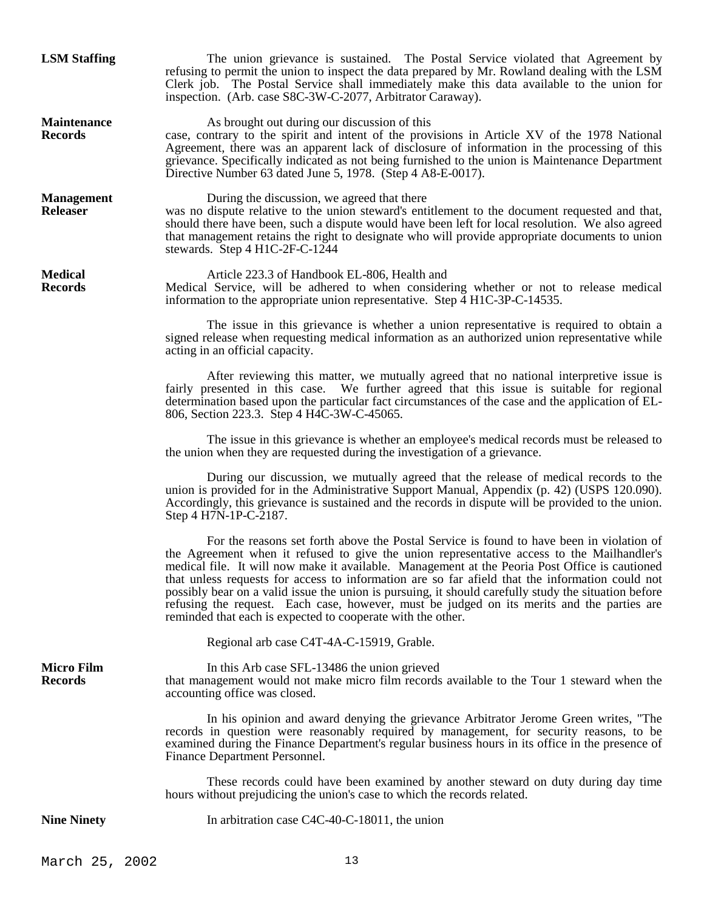| <b>LSM Staffing</b>                  | The union grievance is sustained. The Postal Service violated that Agreement by<br>refusing to permit the union to inspect the data prepared by Mr. Rowland dealing with the LSM<br>Clerk job. The Postal Service shall immediately make this data available to the union for<br>inspection. (Arb. case S8C-3W-C-2077, Arbitrator Caraway).                                                                                                                                                                                                                                                                                                                      |
|--------------------------------------|------------------------------------------------------------------------------------------------------------------------------------------------------------------------------------------------------------------------------------------------------------------------------------------------------------------------------------------------------------------------------------------------------------------------------------------------------------------------------------------------------------------------------------------------------------------------------------------------------------------------------------------------------------------|
| <b>Maintenance</b><br><b>Records</b> | As brought out during our discussion of this<br>case, contrary to the spirit and intent of the provisions in Article XV of the 1978 National<br>Agreement, there was an apparent lack of disclosure of information in the processing of this<br>grievance. Specifically indicated as not being furnished to the union is Maintenance Department<br>Directive Number 63 dated June 5, 1978. (Step 4 A8-E-0017).                                                                                                                                                                                                                                                   |
| <b>Management</b><br><b>Releaser</b> | During the discussion, we agreed that there<br>was no dispute relative to the union steward's entitlement to the document requested and that,<br>should there have been, such a dispute would have been left for local resolution. We also agreed<br>that management retains the right to designate who will provide appropriate documents to union<br>stewards. Step 4 H1C-2F-C-1244                                                                                                                                                                                                                                                                            |
| <b>Medical</b><br><b>Records</b>     | Article 223.3 of Handbook EL-806, Health and<br>Medical Service, will be adhered to when considering whether or not to release medical<br>information to the appropriate union representative. Step 4 H1C-3P-C-14535.                                                                                                                                                                                                                                                                                                                                                                                                                                            |
|                                      | The issue in this grievance is whether a union representative is required to obtain a<br>signed release when requesting medical information as an authorized union representative while<br>acting in an official capacity.                                                                                                                                                                                                                                                                                                                                                                                                                                       |
|                                      | After reviewing this matter, we mutually agreed that no national interpretive issue is<br>fairly presented in this case. We further agreed that this issue is suitable for regional<br>determination based upon the particular fact circumstances of the case and the application of EL-<br>806, Section 223.3. Step 4 H4C-3W-C-45065.                                                                                                                                                                                                                                                                                                                           |
|                                      | The issue in this grievance is whether an employee's medical records must be released to<br>the union when they are requested during the investigation of a grievance.                                                                                                                                                                                                                                                                                                                                                                                                                                                                                           |
|                                      | During our discussion, we mutually agreed that the release of medical records to the<br>union is provided for in the Administrative Support Manual, Appendix (p. 42) (USPS 120.090).<br>Accordingly, this grievance is sustained and the records in dispute will be provided to the union.<br>Step 4 H7N-1P-C-2187.                                                                                                                                                                                                                                                                                                                                              |
|                                      | For the reasons set forth above the Postal Service is found to have been in violation of<br>the Agreement when it refused to give the union representative access to the Mailhandler's<br>medical file. It will now make it available. Management at the Peoria Post Office is cautioned<br>that unless requests for access to information are so far afield that the information could not<br>possibly bear on a valid issue the union is pursuing, it should carefully study the situation before<br>refusing the request. Each case, however, must be judged on its merits and the parties are<br>reminded that each is expected to cooperate with the other. |
|                                      | Regional arb case C4T-4A-C-15919, Grable.                                                                                                                                                                                                                                                                                                                                                                                                                                                                                                                                                                                                                        |
| <b>Micro Film</b><br><b>Records</b>  | In this Arb case SFL-13486 the union grieved<br>that management would not make micro film records available to the Tour 1 steward when the<br>accounting office was closed.                                                                                                                                                                                                                                                                                                                                                                                                                                                                                      |
|                                      | In his opinion and award denying the grievance Arbitrator Jerome Green writes, "The<br>records in question were reasonably required by management, for security reasons, to be<br>examined during the Finance Department's regular business hours in its office in the presence of<br>Finance Department Personnel.                                                                                                                                                                                                                                                                                                                                              |
|                                      | These records could have been examined by another steward on duty during day time<br>hours without prejudicing the union's case to which the records related.                                                                                                                                                                                                                                                                                                                                                                                                                                                                                                    |
| <b>Nine Ninety</b>                   | In arbitration case C4C-40-C-18011, the union                                                                                                                                                                                                                                                                                                                                                                                                                                                                                                                                                                                                                    |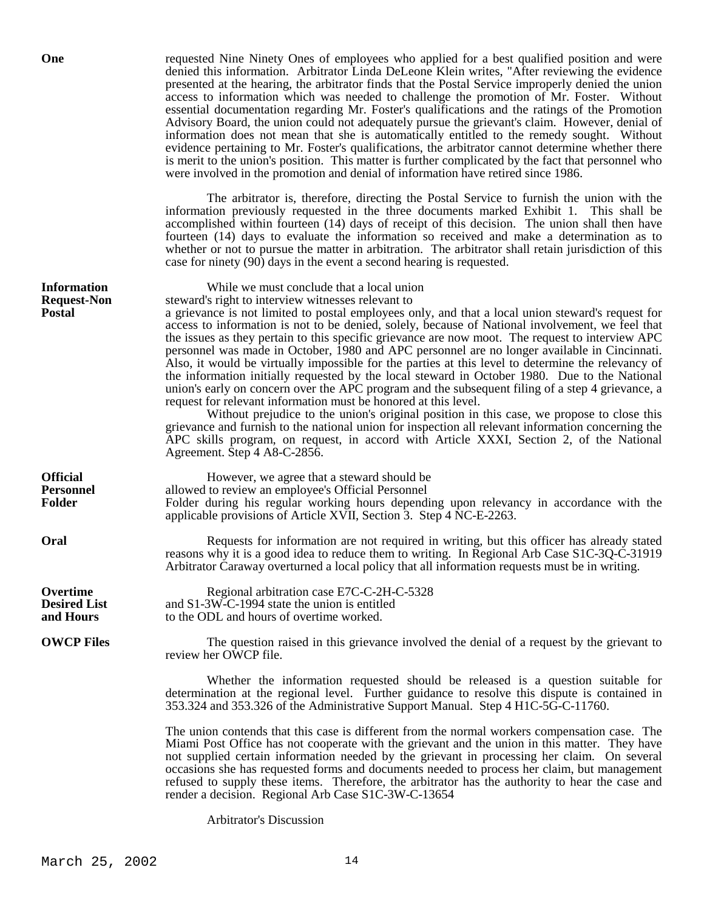**One** requested Nine Ninety Ones of employees who applied for a best qualified position and were denied this information. Arbitrator Linda DeLeone Klein writes, "After reviewing the evidence presented at the hearing, the arbitrator finds that the Postal Service improperly denied the union access to information which was needed to challenge the promotion of Mr. Foster. Without essential documentation regarding Mr. Foster's qualifications and the ratings of the Promotion Advisory Board, the union could not adequately pursue the grievant's claim. However, denial of information does not mean that she is automatically entitled to the remedy sought. Without evidence pertaining to Mr. Foster's qualifications, the arbitrator cannot determine whether there is merit to the union's position. This matter is further complicated by the fact that personnel who were involved in the promotion and denial of information have retired since 1986.

> The arbitrator is, therefore, directing the Postal Service to furnish the union with the information previously requested in the three documents marked Exhibit 1. This shall be accomplished within fourteen (14) days of receipt of this decision. The union shall then have fourteen (14) days to evaluate the information so received and make a determination as to whether or not to pursue the matter in arbitration. The arbitrator shall retain jurisdiction of this case for ninety (90) days in the event a second hearing is requested.

**Information** While we must conclude that a local union **Request-Non** steward's right to interview witnesses relevant to **Postal** a grievance is not limited to postal employees only, and that a local union steward's request for access to information is not to be denied, solely, because of National involvement, we feel that the issues as they pertain to this specific grievance are now moot. The request to interview APC personnel was made in October, 1980 and APC personnel are no longer available in Cincinnati. Also, it would be virtually impossible for the parties at this level to determine the relevancy of the information initially requested by the local steward in October 1980. Due to the National union's early on concern over the APC program and the subsequent filing of a step 4 grievance, a request for relevant information must be honored at this level. Without prejudice to the union's original position in this case, we propose to close this grievance and furnish to the national union for inspection all relevant information concerning the APC skills program, on request, in accord with Article XXXI, Section 2, of the National Agreement. Step 4 A8-C-2856. **Official** However, we agree that a steward should be **Personnel** allowed to review an employee's Official Personnel<br> **Folder** Folder during his regular working hours depending Folder during his regular working hours depending upon relevancy in accordance with the applicable provisions of Article XVII, Section 3. Step 4 NC-E-2263. **Oral** Requests for information are not required in writing, but this officer has already stated reasons why it is a good idea to reduce them to writing. In Regional Arb Case S1C-3Q-C-31919 Arbitrator Caraway overturned a local policy that all information requests must be in writing. **Overtime** Regional arbitration case E7C-C-2H-C-5328<br> **Desired List** and S1-3W-C-1994 state the union is entitled and S1-3W-C-1994 state the union is entitled **and Hours** to the ODL and hours of overtime worked. **OWCP Files** The question raised in this grievance involved the denial of a request by the grievant to review her OWCP file. Whether the information requested should be released is a question suitable for determination at the regional level. Further guidance to resolve this dispute is contained in 353.324 and 353.326 of the Administrative Support Manual. Step 4 H1C-5G-C-11760. The union contends that this case is different from the normal workers compensation case. The Miami Post Office has not cooperate with the grievant and the union in this matter. They have

not supplied certain information needed by the grievant in processing her claim. On several occasions she has requested forms and documents needed to process her claim, but management refused to supply these items. Therefore, the arbitrator has the authority to hear the case and render a decision. Regional Arb Case S1C-3W-C-13654

Arbitrator's Discussion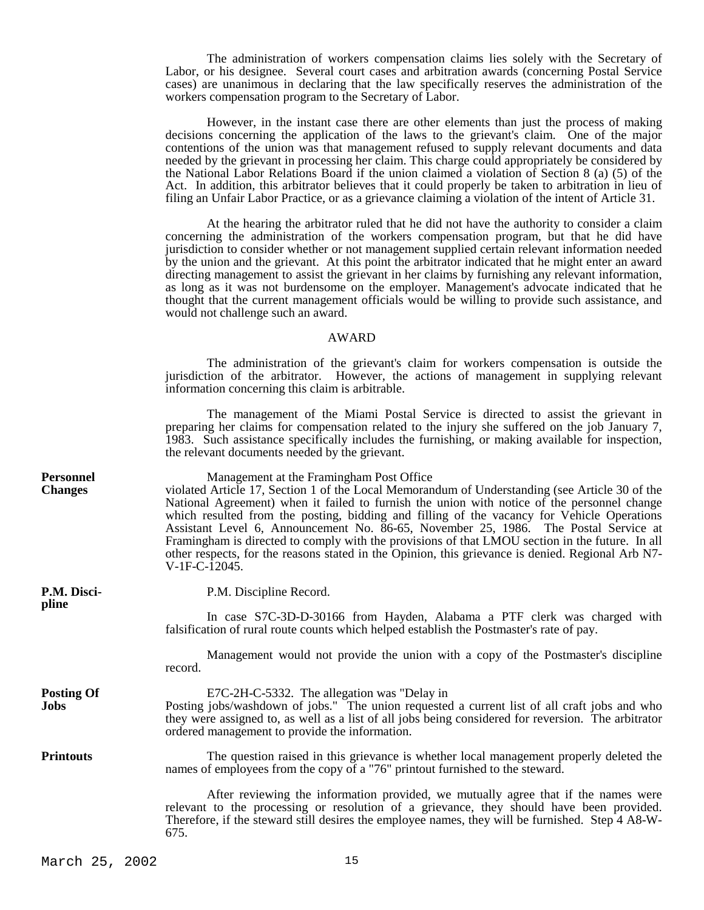The administration of workers compensation claims lies solely with the Secretary of Labor, or his designee. Several court cases and arbitration awards (concerning Postal Service cases) are unanimous in declaring that the law specifically reserves the administration of the workers compensation program to the Secretary of Labor.

 However, in the instant case there are other elements than just the process of making decisions concerning the application of the laws to the grievant's claim. One of the major contentions of the union was that management refused to supply relevant documents and data needed by the grievant in processing her claim. This charge could appropriately be considered by the National Labor Relations Board if the union claimed a violation of Section 8 (a) (5) of the Act. In addition, this arbitrator believes that it could properly be taken to arbitration in lieu of filing an Unfair Labor Practice, or as a grievance claiming a violation of the intent of Article 31.

 At the hearing the arbitrator ruled that he did not have the authority to consider a claim concerning the administration of the workers compensation program, but that he did have jurisdiction to consider whether or not management supplied certain relevant information needed by the union and the grievant. At this point the arbitrator indicated that he might enter an award directing management to assist the grievant in her claims by furnishing any relevant information, as long as it was not burdensome on the employer. Management's advocate indicated that he thought that the current management officials would be willing to provide such assistance, and would not challenge such an award.

## AWARD

 The administration of the grievant's claim for workers compensation is outside the jurisdiction of the arbitrator. However, the actions of management in supplying relevant information concerning this claim is arbitrable.

 The management of the Miami Postal Service is directed to assist the grievant in preparing her claims for compensation related to the injury she suffered on the job January 7, 1983. Such assistance specifically includes the furnishing, or making available for inspection, the relevant documents needed by the grievant.

| <b>Personnel</b><br><b>Changes</b> | Management at the Framingham Post Office<br>violated Article 17, Section 1 of the Local Memorandum of Understanding (see Article 30 of the<br>National Agreement) when it failed to furnish the union with notice of the personnel change<br>which resulted from the posting, bidding and filling of the vacancy for Vehicle Operations<br>Assistant Level 6, Announcement No. 86-65, November 25, 1986. The Postal Service at<br>Framingham is directed to comply with the provisions of that LMOU section in the future. In all<br>other respects, for the reasons stated in the Opinion, this grievance is denied. Regional Arb N7-<br>V-1F-C-12045. |
|------------------------------------|---------------------------------------------------------------------------------------------------------------------------------------------------------------------------------------------------------------------------------------------------------------------------------------------------------------------------------------------------------------------------------------------------------------------------------------------------------------------------------------------------------------------------------------------------------------------------------------------------------------------------------------------------------|
| P.M. Disci-<br>pline               | P.M. Discipline Record.                                                                                                                                                                                                                                                                                                                                                                                                                                                                                                                                                                                                                                 |
|                                    | In case S7C-3D-D-30166 from Hayden, Alabama a PTF clerk was charged with<br>falsification of rural route counts which helped establish the Postmaster's rate of pay.                                                                                                                                                                                                                                                                                                                                                                                                                                                                                    |
|                                    | Management would not provide the union with a copy of the Postmaster's discipline<br>record.                                                                                                                                                                                                                                                                                                                                                                                                                                                                                                                                                            |
| <b>Posting Of</b><br>Jobs          | E7C-2H-C-5332. The allegation was "Delay in<br>Posting jobs/washdown of jobs." The union requested a current list of all craft jobs and who<br>they were assigned to, as well as a list of all jobs being considered for reversion. The arbitrator<br>ordered management to provide the information.                                                                                                                                                                                                                                                                                                                                                    |
| <b>Printouts</b>                   | The question raised in this grievance is whether local management properly deleted the<br>names of employees from the copy of a "76" printout furnished to the steward.                                                                                                                                                                                                                                                                                                                                                                                                                                                                                 |
|                                    | After reviewing the information provided, we mutually agree that if the names were<br>relevant to the processing or resolution of a grievance, they should have been provided.<br>Therefore, if the steward still desires the employee names, they will be furnished. Step 4 A8-W-<br>675.                                                                                                                                                                                                                                                                                                                                                              |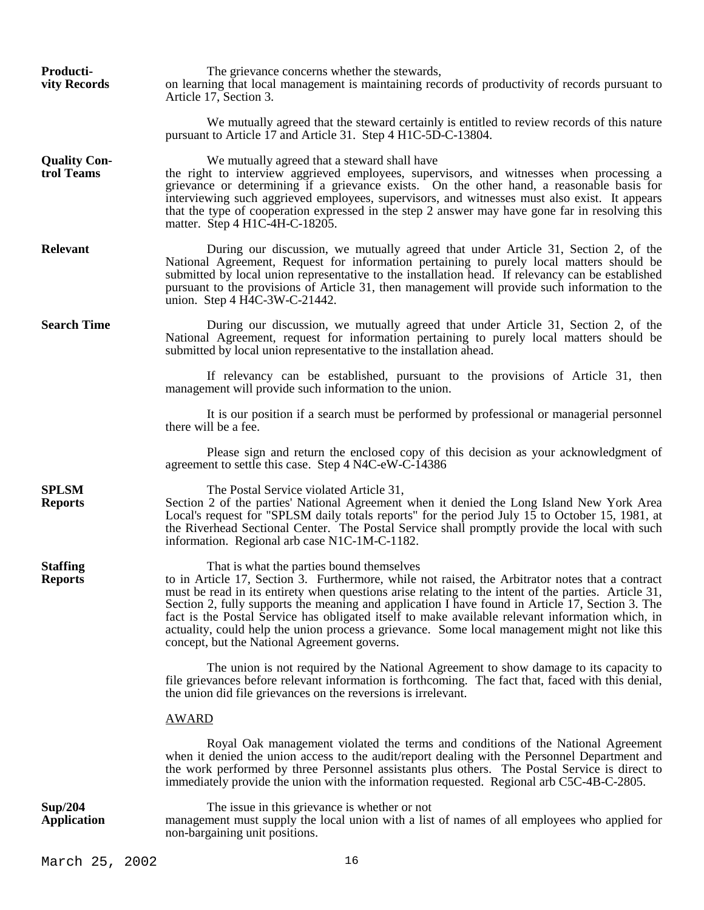| Producti-<br>vity Records         | The grievance concerns whether the stewards,<br>on learning that local management is maintaining records of productivity of records pursuant to<br>Article 17, Section 3.                                                                                                                                                                                                                                                                                                                                                                                                                                       |
|-----------------------------------|-----------------------------------------------------------------------------------------------------------------------------------------------------------------------------------------------------------------------------------------------------------------------------------------------------------------------------------------------------------------------------------------------------------------------------------------------------------------------------------------------------------------------------------------------------------------------------------------------------------------|
|                                   | We mutually agreed that the steward certainly is entitled to review records of this nature<br>pursuant to Article 17 and Article 31. Step 4 H1C-5D-C-13804.                                                                                                                                                                                                                                                                                                                                                                                                                                                     |
| <b>Quality Con-</b><br>trol Teams | We mutually agreed that a steward shall have<br>the right to interview aggrieved employees, supervisors, and witnesses when processing a<br>grievance or determining if a grievance exists. On the other hand, a reasonable basis for<br>interviewing such aggrieved employees, supervisors, and witnesses must also exist. It appears<br>that the type of cooperation expressed in the step 2 answer may have gone far in resolving this<br>matter. Step 4 H1C-4H-C-18205.                                                                                                                                     |
| <b>Relevant</b>                   | During our discussion, we mutually agreed that under Article 31, Section 2, of the<br>National Agreement, Request for information pertaining to purely local matters should be<br>submitted by local union representative to the installation head. If relevancy can be established<br>pursuant to the provisions of Article 31, then management will provide such information to the<br>union. Step 4 H4C-3W-C-21442.                                                                                                                                                                                          |
| <b>Search Time</b>                | During our discussion, we mutually agreed that under Article 31, Section 2, of the<br>National Agreement, request for information pertaining to purely local matters should be<br>submitted by local union representative to the installation ahead.                                                                                                                                                                                                                                                                                                                                                            |
|                                   | If relevancy can be established, pursuant to the provisions of Article 31, then<br>management will provide such information to the union.                                                                                                                                                                                                                                                                                                                                                                                                                                                                       |
|                                   | It is our position if a search must be performed by professional or managerial personnel<br>there will be a fee.                                                                                                                                                                                                                                                                                                                                                                                                                                                                                                |
|                                   | Please sign and return the enclosed copy of this decision as your acknowledgment of<br>agreement to settle this case. Step 4 N4C-eW-C-14386                                                                                                                                                                                                                                                                                                                                                                                                                                                                     |
| <b>SPLSM</b><br><b>Reports</b>    | The Postal Service violated Article 31,<br>Section 2 of the parties' National Agreement when it denied the Long Island New York Area<br>Local's request for "SPLSM daily totals reports" for the period July $15$ to October 15, 1981, at<br>the Riverhead Sectional Center. The Postal Service shall promptly provide the local with such<br>information. Regional arb case N1C-1M-C-1182.                                                                                                                                                                                                                     |
| <b>Staffing</b><br><b>Reports</b> | That is what the parties bound themselves<br>to in Article 17, Section 3. Furthermore, while not raised, the Arbitrator notes that a contract<br>must be read in its entirety when questions arise relating to the intent of the parties. Article 31,<br>Section 2, fully supports the meaning and application I have found in Article 17, Section 3. The<br>fact is the Postal Service has obligated itself to make available relevant information which, in<br>actuality, could help the union process a grievance. Some local management might not like this<br>concept, but the National Agreement governs. |
|                                   | The union is not required by the National Agreement to show damage to its capacity to<br>file grievances before relevant information is forthcoming. The fact that, faced with this denial,<br>the union did file grievances on the reversions is irrelevant.                                                                                                                                                                                                                                                                                                                                                   |
|                                   | <b>AWARD</b>                                                                                                                                                                                                                                                                                                                                                                                                                                                                                                                                                                                                    |
|                                   | Royal Oak management violated the terms and conditions of the National Agreement<br>when it denied the union access to the audit/report dealing with the Personnel Department and<br>the work performed by three Personnel assistants plus others. The Postal Service is direct to<br>immediately provide the union with the information requested. Regional arb C5C-4B-C-2805.                                                                                                                                                                                                                                 |
| Sup/204<br><b>Application</b>     | The issue in this grievance is whether or not<br>management must supply the local union with a list of names of all employees who applied for<br>non-bargaining unit positions.                                                                                                                                                                                                                                                                                                                                                                                                                                 |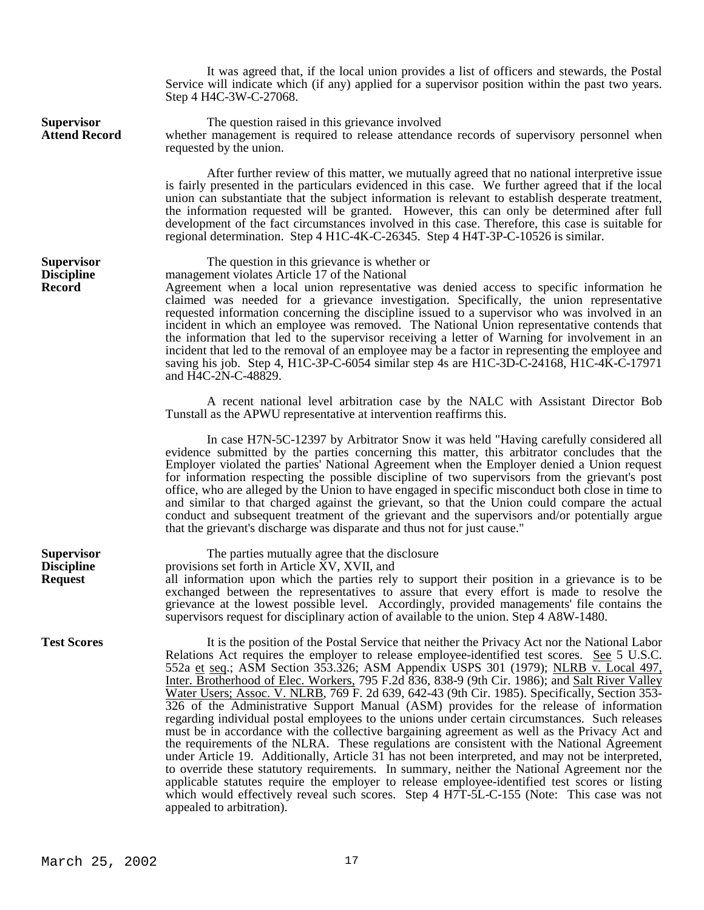It was agreed that, if the local union provides a list of officers and stewards, the Postal Service will indicate which (if any) applied for a supervisor position within the past two years. Step 4 H4C-3W-C-27068.

**Supervisor** The question raised in this grievance involved<br>**Attend Record** whether management is required to release attendance whether management is required to release attendance records of supervisory personnel when requested by the union.

> After further review of this matter, we mutually agreed that no national interpretive issue is fairly presented in the particulars evidenced in this case. We further agreed that if the local union can substantiate that the subject information is relevant to establish desperate treatment, the information requested will be granted. However, this can only be determined after full development of the fact circumstances involved in this case. Therefore, this case is suitable for regional determination. Step 4 H1C-4K-C-26345. Step 4 H4T-3P-C-10526 is similar.

**Supervisor** The question in this grievance is whether or<br>**Discipline** management violates Article 17 of the National **Discipline** management violates Article 17 of the National **Record** Agreement when a local union representative

**Record** Agreement when a local union representative was denied access to specific information he claimed was needed for a grievance investigation. Specifically, the union representative requested information concerning the discipline issued to a supervisor who was involved in an incident in which an employee was removed. The National Union representative contends that the information that led to the supervisor receiving a letter of Warning for involvement in an incident that led to the removal of an employee may be a factor in representing the employee and saving his job. Step 4, H1C-3P-C-6054 similar step 4s are H1C-3D-C-24168, H1C-4K-C-17971 and H4C-2N-C-48829.

 A recent national level arbitration case by the NALC with Assistant Director Bob Tunstall as the APWU representative at intervention reaffirms this.

 In case H7N-5C-12397 by Arbitrator Snow it was held "Having carefully considered all evidence submitted by the parties concerning this matter, this arbitrator concludes that the Employer violated the parties' National Agreement when the Employer denied a Union request for information respecting the possible discipline of two supervisors from the grievant's post office, who are alleged by the Union to have engaged in specific misconduct both close in time to and similar to that charged against the grievant, so that the Union could compare the actual conduct and subsequent treatment of the grievant and the supervisors and/or potentially argue that the grievant's discharge was disparate and thus not for just cause."

**Supervisor** The parties mutually agree that the disclosure<br>**Discipline** provisions set forth in Article XV, XVII, and provisions set forth in Article XV, XVII, and **Request** all information upon which the parties rely to support their position in a grievance is to be exchanged between the representatives to assure that every effort is made to resolve the grievance at the lowest possible level. Accordingly, provided managements' file contains the supervisors request for disciplinary action of available to the union. Step 4 A8W-1480.

**Test Scores** It is the position of the Postal Service that neither the Privacy Act nor the National Labor Relations Act requires the employer to release employee-identified test scores. See 5 U.S.C. 552a et seq.; ASM Section 353.326; ASM Appendix USPS 301 (1979); NLRB v. Local 497, Inter. Brotherhood of Elec. Workers, 795 F.2d 836, 838-9 (9th Cir. 1986); and Salt River Valley Water Users; Assoc. V. NLRB, 769 F. 2d 639, 642-43 (9th Cir. 1985). Specifically, Section 353- 326 of the Administrative Support Manual (ASM) provides for the release of information regarding individual postal employees to the unions under certain circumstances. Such releases must be in accordance with the collective bargaining agreement as well as the Privacy Act and the requirements of the NLRA. These regulations are consistent with the National Agreement under Article 19. Additionally, Article 31 has not been interpreted, and may not be interpreted, to override these statutory requirements. In summary, neither the National Agreement nor the applicable statutes require the employer to release employee-identified test scores or listing which would effectively reveal such scores. Step 4 H7T-5L-C-155 (Note: This case was not appealed to arbitration).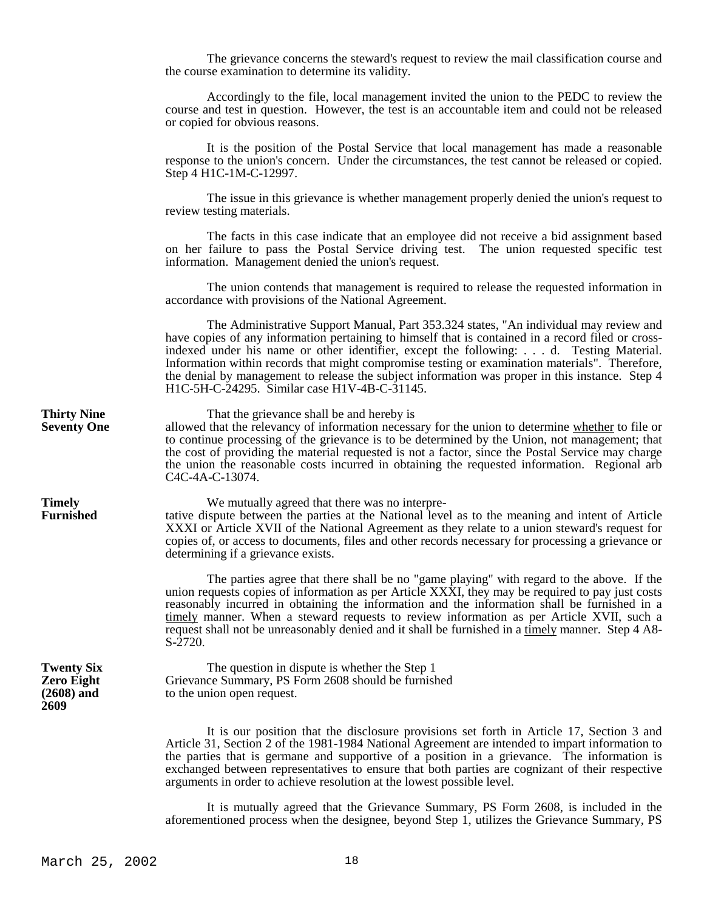The grievance concerns the steward's request to review the mail classification course and the course examination to determine its validity.

 Accordingly to the file, local management invited the union to the PEDC to review the course and test in question. However, the test is an accountable item and could not be released or copied for obvious reasons.

 It is the position of the Postal Service that local management has made a reasonable response to the union's concern. Under the circumstances, the test cannot be released or copied. Step 4 H1C-1M-C-12997.

 The issue in this grievance is whether management properly denied the union's request to review testing materials.

 The facts in this case indicate that an employee did not receive a bid assignment based on her failure to pass the Postal Service driving test. The union requested specific test information. Management denied the union's request.

 The union contends that management is required to release the requested information in accordance with provisions of the National Agreement.

 The Administrative Support Manual, Part 353.324 states, "An individual may review and have copies of any information pertaining to himself that is contained in a record filed or crossindexed under his name or other identifier, except the following: . . . d. Testing Material. Information within records that might compromise testing or examination materials". Therefore, the denial by management to release the subject information was proper in this instance. Step 4 H1C-5H-C-24295. Similar case H1V-4B-C-31145.

**Thirty Nine** That the grievance shall be and hereby is<br> **Seventy One** allowed that the relevancy of information necessary **Seventy One** allowed that the relevancy of information necessary for the union to determine whether to file or to continue processing of the grievance is to be determined by the Union, not management; that the cost of providing the material requested is not a factor, since the Postal Service may charge the union the reasonable costs incurred in obtaining the requested information. Regional arb C4C-4A-C-13074.

**Timely** We mutually agreed that there was no interpre-<br>**Furnished** tative dispute between the parties at the National leve **Furnished** tative dispute between the parties at the National level as to the meaning and intent of Article XXXI or Article XVII of the National Agreement as they relate to a union steward's request for copies of, or access to documents, files and other records necessary for processing a grievance or determining if a grievance exists.

> The parties agree that there shall be no "game playing" with regard to the above. If the union requests copies of information as per Article XXXI, they may be required to pay just costs reasonably incurred in obtaining the information and the information shall be furnished in a timely manner. When a steward requests to review information as per Article XVII, such a request shall not be unreasonably denied and it shall be furnished in a timely manner. Step 4 A8- S-2720.

**Twenty Six** The question in dispute is whether the Step 1<br>**Zero Eight** Grievance Summary, PS Form 2608 should be furnish **Zero Eight** Grievance Summary, PS Form 2608 should be furnished (2608) and to the union open request. to the union open request.

> It is our position that the disclosure provisions set forth in Article 17, Section 3 and Article 31, Section 2 of the 1981-1984 National Agreement are intended to impart information to the parties that is germane and supportive of a position in a grievance. The information is exchanged between representatives to ensure that both parties are cognizant of their respective arguments in order to achieve resolution at the lowest possible level.

> It is mutually agreed that the Grievance Summary, PS Form 2608, is included in the aforementioned process when the designee, beyond Step 1, utilizes the Grievance Summary, PS

**2609**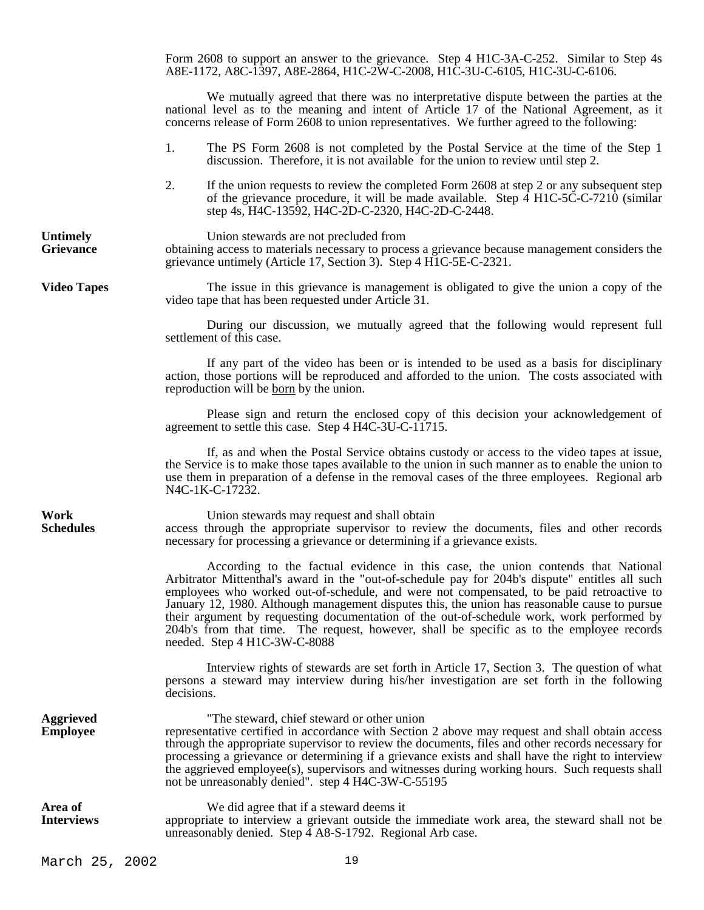Form 2608 to support an answer to the grievance. Step 4 H1C-3A-C-252. Similar to Step 4s A8E-1172, A8C-1397, A8E-2864, H1C-2W-C-2008, H1C-3U-C-6105, H1C-3U-C-6106.

 We mutually agreed that there was no interpretative dispute between the parties at the national level as to the meaning and intent of Article 17 of the National Agreement, as it concerns release of Form 2608 to union representatives. We further agreed to the following:

- 1. The PS Form 2608 is not completed by the Postal Service at the time of the Step 1 discussion. Therefore, it is not available for the union to review until step 2.
- 2. If the union requests to review the completed Form 2608 at step 2 or any subsequent step of the grievance procedure, it will be made available. Step  $\overline{4}$  H1C-5C-C-7210 (similar step 4s, H4C-13592, H4C-2D-C-2320, H4C-2D-C-2448.

Union stewards are not precluded from<br> **Grievance State obtaining** access to materials necessary to proce **Grievance** obtaining access to materials necessary to process a grievance because management considers the grievance untimely (Article 17, Section 3). Step 4 H1C-5E-C-2321.

**Video Tapes** The issue in this grievance is management is obligated to give the union a copy of the video tape that has been requested under Article 31.

> During our discussion, we mutually agreed that the following would represent full settlement of this case.

> If any part of the video has been or is intended to be used as a basis for disciplinary action, those portions will be reproduced and afforded to the union. The costs associated with reproduction will be born by the union.

> Please sign and return the enclosed copy of this decision your acknowledgement of agreement to settle this case. Step 4 H4C-3U-C-11715.

> If, as and when the Postal Service obtains custody or access to the video tapes at issue, the Service is to make those tapes available to the union in such manner as to enable the union to use them in preparation of a defense in the removal cases of the three employees. Regional arb N4C-1K-C-17232.

**Work** Union stewards may request and shall obtain **Schedules** access through the appropriate supervisor to review the documents, files and other records necessary for processing a grievance or determining if a grievance exists.

> According to the factual evidence in this case, the union contends that National Arbitrator Mittenthal's award in the "out-of-schedule pay for 204b's dispute" entitles all such employees who worked out-of-schedule, and were not compensated, to be paid retroactive to January 12, 1980. Although management disputes this, the union has reasonable cause to pursue their argument by requesting documentation of the out-of-schedule work, work performed by 204b's from that time. The request, however, shall be specific as to the employee records needed. Step 4 H1C-3W-C-8088

> Interview rights of stewards are set forth in Article 17, Section 3. The question of what persons a steward may interview during his/her investigation are set forth in the following decisions.

**Aggrieved** "The steward, chief steward or other union **Employee** representative certified in accordance with Section 2 above may request and shall obtain access through the appropriate supervisor to review the documents, files and other records necessary for processing a grievance or determining if a grievance exists and shall have the right to interview the aggrieved employee(s), supervisors and witnesses during working hours. Such requests shall not be unreasonably denied". step 4 H4C-3W-C-55195

Area of We did agree that if a steward deems it **Interviews** appropriate to interview a grievant outside the immediate work area, the steward shall not be unreasonably denied. Step  $\overline{4}$  A8-S-1792. Regional Arb case.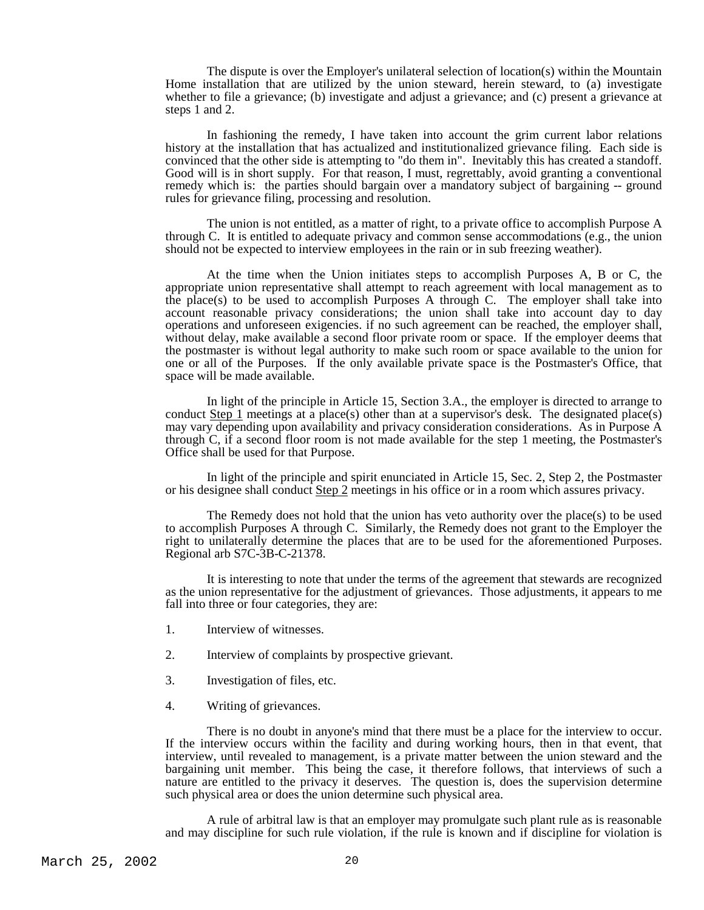The dispute is over the Employer's unilateral selection of location(s) within the Mountain Home installation that are utilized by the union steward, herein steward, to (a) investigate whether to file a grievance; (b) investigate and adjust a grievance; and (c) present a grievance at steps 1 and 2.

 In fashioning the remedy, I have taken into account the grim current labor relations history at the installation that has actualized and institutionalized grievance filing. Each side is convinced that the other side is attempting to "do them in". Inevitably this has created a standoff. Good will is in short supply. For that reason, I must, regrettably, avoid granting a conventional remedy which is: the parties should bargain over a mandatory subject of bargaining -- ground rules for grievance filing, processing and resolution.

 The union is not entitled, as a matter of right, to a private office to accomplish Purpose A through C. It is entitled to adequate privacy and common sense accommodations (e.g., the union should not be expected to interview employees in the rain or in sub freezing weather).

 At the time when the Union initiates steps to accomplish Purposes A, B or C, the appropriate union representative shall attempt to reach agreement with local management as to the place(s) to be used to accomplish Purposes A through C. The employer shall take into account reasonable privacy considerations; the union shall take into account day to day operations and unforeseen exigencies. if no such agreement can be reached, the employer shall, without delay, make available a second floor private room or space. If the employer deems that the postmaster is without legal authority to make such room or space available to the union for one or all of the Purposes. If the only available private space is the Postmaster's Office, that space will be made available.

 In light of the principle in Article 15, Section 3.A., the employer is directed to arrange to conduct  $Step 1$  meetings at a place(s) other than at a supervisor's desk. The designated place(s) may vary depending upon availability and privacy consideration considerations. As in Purpose A through C, if a second floor room is not made available for the step 1 meeting, the Postmaster's Office shall be used for that Purpose.

 In light of the principle and spirit enunciated in Article 15, Sec. 2, Step 2, the Postmaster or his designee shall conduct Step 2 meetings in his office or in a room which assures privacy.

 The Remedy does not hold that the union has veto authority over the place(s) to be used to accomplish Purposes A through C. Similarly, the Remedy does not grant to the Employer the right to unilaterally determine the places that are to be used for the aforementioned Purposes. Regional arb S7C-3B-C-21378.

 It is interesting to note that under the terms of the agreement that stewards are recognized as the union representative for the adjustment of grievances. Those adjustments, it appears to me fall into three or four categories, they are:

- 1. Interview of witnesses.
- 2. Interview of complaints by prospective grievant.
- 3. Investigation of files, etc.
- 4. Writing of grievances.

 There is no doubt in anyone's mind that there must be a place for the interview to occur. If the interview occurs within the facility and during working hours, then in that event, that interview, until revealed to management, is a private matter between the union steward and the bargaining unit member. This being the case, it therefore follows, that interviews of such a nature are entitled to the privacy it deserves. The question is, does the supervision determine such physical area or does the union determine such physical area.

 A rule of arbitral law is that an employer may promulgate such plant rule as is reasonable and may discipline for such rule violation, if the rule is known and if discipline for violation is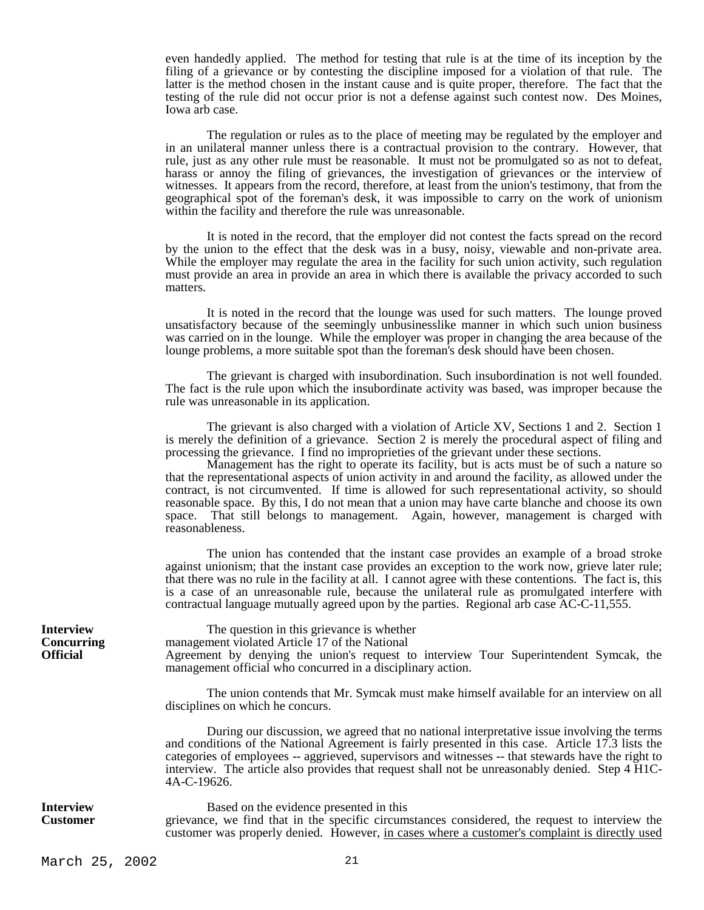even handedly applied. The method for testing that rule is at the time of its inception by the filing of a grievance or by contesting the discipline imposed for a violation of that rule. The latter is the method chosen in the instant cause and is quite proper, therefore. The fact that the testing of the rule did not occur prior is not a defense against such contest now. Des Moines, Iowa arb case.

 The regulation or rules as to the place of meeting may be regulated by the employer and in an unilateral manner unless there is a contractual provision to the contrary. However, that rule, just as any other rule must be reasonable. It must not be promulgated so as not to defeat, harass or annoy the filing of grievances, the investigation of grievances or the interview of witnesses. It appears from the record, therefore, at least from the union's testimony, that from the geographical spot of the foreman's desk, it was impossible to carry on the work of unionism within the facility and therefore the rule was unreasonable.

 It is noted in the record, that the employer did not contest the facts spread on the record by the union to the effect that the desk was in a busy, noisy, viewable and non-private area. While the employer may regulate the area in the facility for such union activity, such regulation must provide an area in provide an area in which there is available the privacy accorded to such matters.

 It is noted in the record that the lounge was used for such matters. The lounge proved unsatisfactory because of the seemingly unbusinesslike manner in which such union business was carried on in the lounge. While the employer was proper in changing the area because of the lounge problems, a more suitable spot than the foreman's desk should have been chosen.

 The grievant is charged with insubordination. Such insubordination is not well founded. The fact is the rule upon which the insubordinate activity was based, was improper because the rule was unreasonable in its application.

 The grievant is also charged with a violation of Article XV, Sections 1 and 2. Section 1 is merely the definition of a grievance. Section 2 is merely the procedural aspect of filing and processing the grievance. I find no improprieties of the grievant under these sections.

 Management has the right to operate its facility, but is acts must be of such a nature so that the representational aspects of union activity in and around the facility, as allowed under the contract, is not circumvented. If time is allowed for such representational activity, so should reasonable space. By this, I do not mean that a union may have carte blanche and choose its own space. That still belongs to management. Again, however, management is charged with reasonableness.

 The union has contended that the instant case provides an example of a broad stroke against unionism; that the instant case provides an exception to the work now, grieve later rule; that there was no rule in the facility at all. I cannot agree with these contentions. The fact is, this is a case of an unreasonable rule, because the unilateral rule as promulgated interfere with contractual language mutually agreed upon by the parties. Regional arb case AC-C-11,555.

**Interview** The question in this grievance is whether **Concurring** management violated Article 17 of the National **Official** Agreement by denying the union's request to interview Tour Superintendent Symcak, the management official who concurred in a disciplinary action.

> The union contends that Mr. Symcak must make himself available for an interview on all disciplines on which he concurs.

> During our discussion, we agreed that no national interpretative issue involving the terms and conditions of the National Agreement is fairly presented in this case. Article 17.3 lists the categories of employees -- aggrieved, supervisors and witnesses -- that stewards have the right to interview. The article also provides that request shall not be unreasonably denied. Step 4 H1C-4A-C-19626.

**Interview** Based on the evidence presented in this **Customer** grievance, we find that in the specific circumstances considered, the request to interview the customer was properly denied. However, in cases where a customer's complaint is directly used

March 25, 2002 21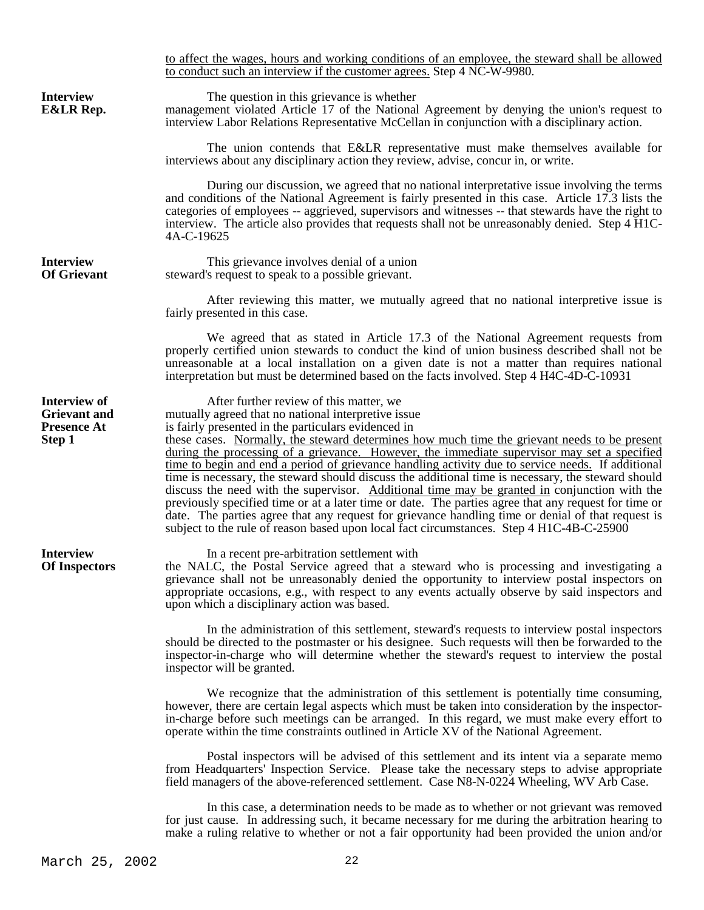to affect the wages, hours and working conditions of an employee, the steward shall be allowed to conduct such an interview if the customer agrees. Step 4 NC-W-9980. **Interview** The question in this grievance is whether **E&LR Rep.** management violated Article 17 of the National **E&LR Rep.** management violated Article 17 of the National Agreement by denying the union's request to interview Labor Relations Representative McCellan in conjunction with a disciplinary action. The union contends that E&LR representative must make themselves available for interviews about any disciplinary action they review, advise, concur in, or write. During our discussion, we agreed that no national interpretative issue involving the terms and conditions of the National Agreement is fairly presented in this case. Article 17.3 lists the categories of employees -- aggrieved, supervisors and witnesses -- that stewards have the right to interview. The article also provides that requests shall not be unreasonably denied. Step 4 H1C-4A-C-19625 **Interview** This grievance involves denial of a union<br>**Of Grievant** steward's request to speak to a possible grievant steward's request to speak to a possible grievant. After reviewing this matter, we mutually agreed that no national interpretive issue is fairly presented in this case. We agreed that as stated in Article 17.3 of the National Agreement requests from properly certified union stewards to conduct the kind of union business described shall not be unreasonable at a local installation on a given date is not a matter than requires national interpretation but must be determined based on the facts involved. Step 4 H4C-4D-C-10931 **Interview of After further review of this matter, we**<br>**Grievant and imitually agreed that no national interpretive is Grievant and** mutually agreed that no national interpretive issue<br>**Presence At** is fairly presented in the particulars evidenced in is fairly presented in the particulars evidenced in **Step 1** these cases. Normally, the steward determines how much time the grievant needs to be present during the processing of a grievance. However, the immediate supervisor may set a specified time to begin and end a period of grievance handling activity due to service needs. If additional time is necessary, the steward should discuss the additional time is necessary, the steward should discuss the need with the supervisor. Additional time may be granted in conjunction with the previously specified time or at a later time or date. The parties agree that any request for time or date. The parties agree that any request for grievance handling time or denial of that request is subject to the rule of reason based upon local fact circumstances. Step 4 H1C-4B-C-25900 **Interview** In a recent pre-arbitration settlement with **Of Inspectors** the NALC, the Postal Service agreed that a st **Of Inspectors** the NALC, the Postal Service agreed that a steward who is processing and investigating a grievance shall not be unreasonably denied the opportunity to interview postal inspectors on appropriate occasions, e.g., with respect to any events actually observe by said inspectors and upon which a disciplinary action was based. In the administration of this settlement, steward's requests to interview postal inspectors should be directed to the postmaster or his designee. Such requests will then be forwarded to the inspector-in-charge who will determine whether the steward's request to interview the postal inspector will be granted. We recognize that the administration of this settlement is potentially time consuming, however, there are certain legal aspects which must be taken into consideration by the inspectorin-charge before such meetings can be arranged. In this regard, we must make every effort to operate within the time constraints outlined in Article XV of the National Agreement. Postal inspectors will be advised of this settlement and its intent via a separate memo from Headquarters' Inspection Service. Please take the necessary steps to advise appropriate field managers of the above-referenced settlement. Case N8-N-0224 Wheeling, WV Arb Case. In this case, a determination needs to be made as to whether or not grievant was removed for just cause. In addressing such, it became necessary for me during the arbitration hearing to

make a ruling relative to whether or not a fair opportunity had been provided the union and/or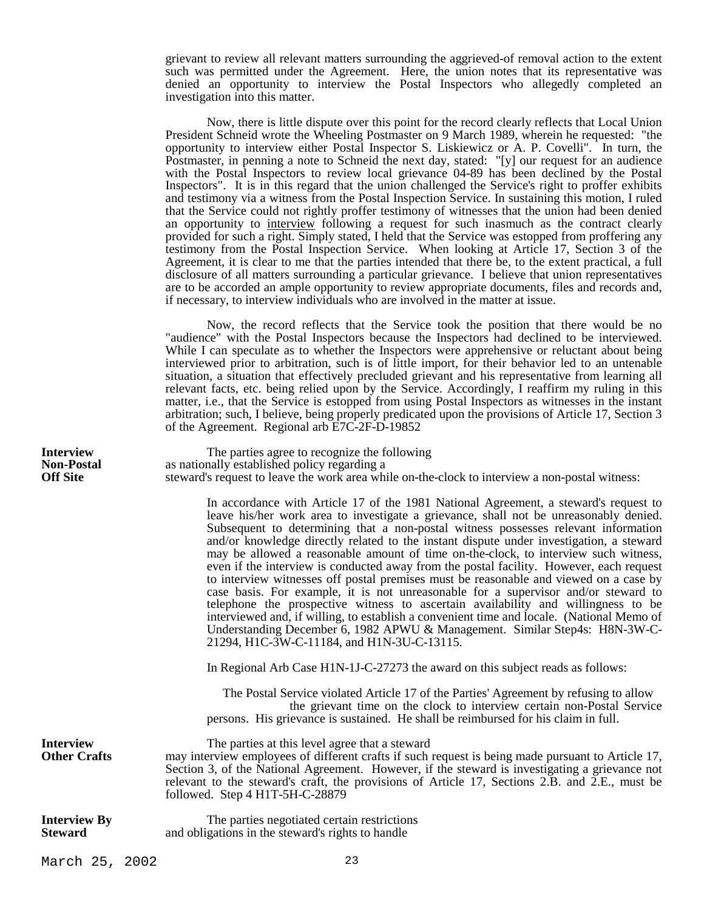grievant to review all relevant matters surrounding the aggrieved-of removal action to the extent such was permitted under the Agreement. Here, the union notes that its representative was denied an opportunity to interview the Postal Inspectors who allegedly completed an investigation into this matter.

 Now, there is little dispute over this point for the record clearly reflects that Local Union President Schneid wrote the Wheeling Postmaster on 9 March 1989, wherein he requested: "the opportunity to interview either Postal Inspector S. Liskiewicz or A. P. Covelli". In turn, the Postmaster, in penning a note to Schneid the next day, stated: "[y] our request for an audience with the Postal Inspectors to review local grievance 04-89 has been declined by the Postal Inspectors". It is in this regard that the union challenged the Service's right to proffer exhibits and testimony via a witness from the Postal Inspection Service. In sustaining this motion, I ruled that the Service could not rightly proffer testimony of witnesses that the union had been denied an opportunity to interview following a request for such inasmuch as the contract clearly provided for such a right. Simply stated, I held that the Service was estopped from proffering any testimony from the Postal Inspection Service. When looking at Article 17, Section 3 of the Agreement, it is clear to me that the parties intended that there be, to the extent practical, a full disclosure of all matters surrounding a particular grievance. I believe that union representatives are to be accorded an ample opportunity to review appropriate documents, files and records and, if necessary, to interview individuals who are involved in the matter at issue.

 Now, the record reflects that the Service took the position that there would be no "audience" with the Postal Inspectors because the Inspectors had declined to be interviewed. While I can speculate as to whether the Inspectors were apprehensive or reluctant about being interviewed prior to arbitration, such is of little import, for their behavior led to an untenable situation, a situation that effectively precluded grievant and his representative from learning all relevant facts, etc. being relied upon by the Service. Accordingly, I reaffirm my ruling in this matter, i.e., that the Service is estopped from using Postal Inspectors as witnesses in the instant arbitration; such, I believe, being properly predicated upon the provisions of Article 17, Section 3 of the Agreement. Regional arb E7C-2F-D-19852

**Interview** The parties agree to recognize the following<br> **Non-Postal** as nationally established policy regarding a **Non-Postal** as nationally established policy regarding a **Off Site** steward's request to leave the work area whi steward's request to leave the work area while on-the-clock to interview a non-postal witness:

> In accordance with Article 17 of the 1981 National Agreement, a steward's request to leave his/her work area to investigate a grievance, shall not be unreasonably denied. Subsequent to determining that a non-postal witness possesses relevant information and/or knowledge directly related to the instant dispute under investigation, a steward may be allowed a reasonable amount of time on-the-clock, to interview such witness, even if the interview is conducted away from the postal facility. However, each request to interview witnesses off postal premises must be reasonable and viewed on a case by case basis. For example, it is not unreasonable for a supervisor and/or steward to telephone the prospective witness to ascertain availability and willingness to be interviewed and, if willing, to establish a convenient time and locale. (National Memo of Understanding December 6, 1982 APWU & Management. Similar Step4s: H8N-3W-C-21294, H1C-3W-C-11184, and H1N-3U-C-13115.

In Regional Arb Case H1N-1J-C-27273 the award on this subject reads as follows:

Section 3, of the National Agreement. However, if the steward is investigating a grievance not relevant to the steward's craft, the provisions of Article 17, Sections 2.B. and 2.E., must be

 The Postal Service violated Article 17 of the Parties' Agreement by refusing to allow the grievant time on the clock to interview certain non-Postal Service persons. His grievance is sustained. He shall be reimbursed for his claim in full.

**Interview** The parties at this level agree that a steward **Other Crafts** may interview employees of different crafts if such request is being made pursuant to Article 17,

followed. Step 4 H1T-5H-C-28879 **Interview By** The parties negotiated certain restrictions<br>**Steward** and obligations in the steward's rights to handle

and obligations in the steward's rights to handle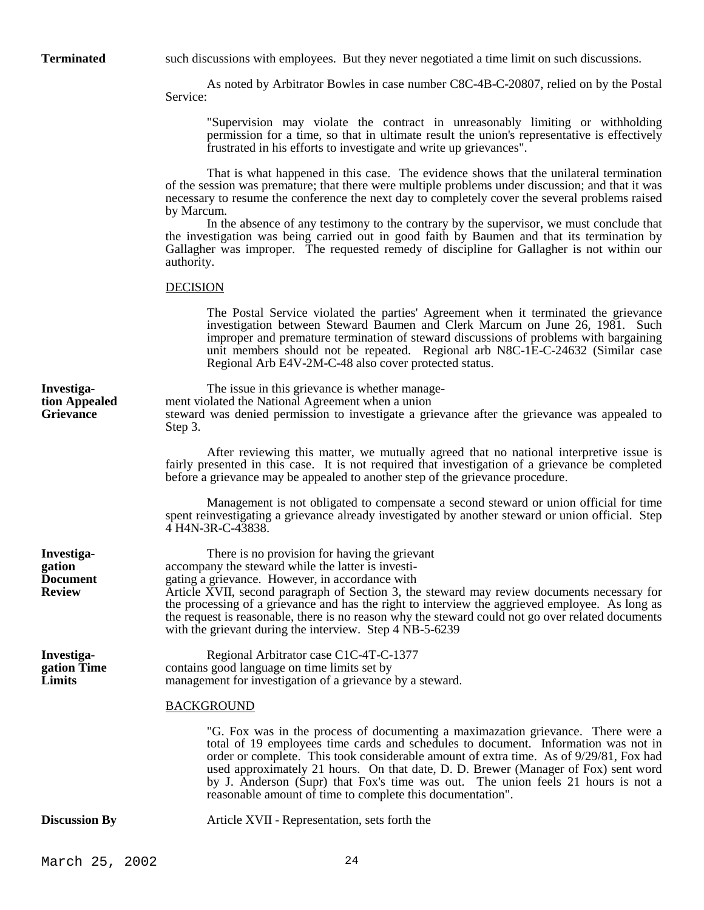**Terminated** such discussions with employees. But they never negotiated a time limit on such discussions.

 As noted by Arbitrator Bowles in case number C8C-4B-C-20807, relied on by the Postal Service:

"Supervision may violate the contract in unreasonably limiting or withholding permission for a time, so that in ultimate result the union's representative is effectively frustrated in his efforts to investigate and write up grievances".

 That is what happened in this case. The evidence shows that the unilateral termination of the session was premature; that there were multiple problems under discussion; and that it was necessary to resume the conference the next day to completely cover the several problems raised by Marcum.

 In the absence of any testimony to the contrary by the supervisor, we must conclude that the investigation was being carried out in good faith by Baumen and that its termination by Gallagher was improper. The requested remedy of discipline for Gallagher is not within our authority.

# DECISION

The Postal Service violated the parties' Agreement when it terminated the grievance investigation between Steward Baumen and Clerk Marcum on June 26, 1981. Such improper and premature termination of steward discussions of problems with bargaining unit members should not be repeated. Regional arb N8C-1E-C-24632 (Similar case Regional Arb E4V-2M-C-48 also cover protected status.

**Investiga-** The issue in this grievance is whether manage**tion Appealed** ment violated the National Agreement when a union **Grievance** steward was denied permission to investigate a gri **Grievance** steward was denied permission to investigate a grievance after the grievance was appealed to Step 3.

> After reviewing this matter, we mutually agreed that no national interpretive issue is fairly presented in this case. It is not required that investigation of a grievance be completed before a grievance may be appealed to another step of the grievance procedure.

> Management is not obligated to compensate a second steward or union official for time spent reinvestigating a grievance already investigated by another steward or union official. Step 4 H4N-3R-C-43838.

**Investiga-** There is no provision for having the grievant **gation** accompany the steward while the latter is investi-**Document** gating a grievance. However, in accordance with **Review** Article XVII, second paragraph of Section 3, the steward may review documents necessary for the processing of a grievance and has the right to interview the aggrieved employee. As long as the request is reasonable, there is no reason why the steward could not go over related documents with the grievant during the interview. Step 4 NB-5-6239

**Investiga-** Regional Arbitrator case C1C-4T-C-1377 **gation Time** contains good language on time limits set by contains good language on time limits set by **Limits** management for investigation of a grievance by a steward.

# BACKGROUND

"G. Fox was in the process of documenting a maximazation grievance. There were a total of 19 employees time cards and schedules to document. Information was not in order or complete. This took considerable amount of extra time. As of 9/29/81, Fox had used approximately 21 hours. On that date, D. D. Brewer (Manager of Fox) sent word by J. Anderson (Supr) that Fox's time was out. The union feels 21 hours is not a reasonable amount of time to complete this documentation".

**Discussion By** Article XVII - Representation, sets forth the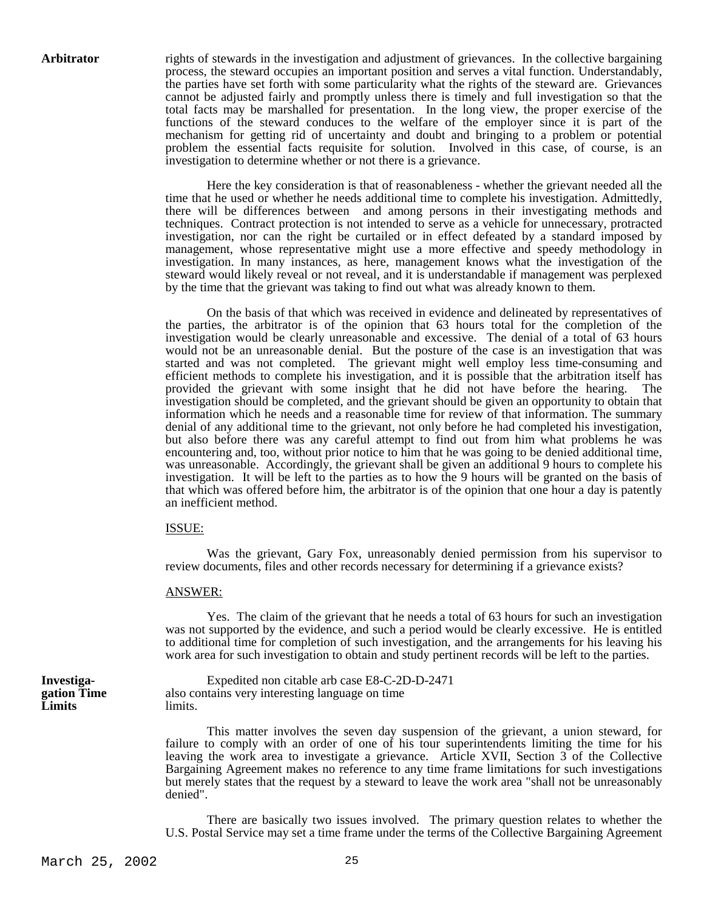**Arbitrator** rights of stewards in the investigation and adjustment of grievances. In the collective bargaining process, the steward occupies an important position and serves a vital function. Understandably, the parties have set forth with some particularity what the rights of the steward are. Grievances cannot be adjusted fairly and promptly unless there is timely and full investigation so that the total facts may be marshalled for presentation. In the long view, the proper exercise of the functions of the steward conduces to the welfare of the employer since it is part of the mechanism for getting rid of uncertainty and doubt and bringing to a problem or potential problem the essential facts requisite for solution. Involved in this case, of course, is an investigation to determine whether or not there is a grievance.

> Here the key consideration is that of reasonableness - whether the grievant needed all the time that he used or whether he needs additional time to complete his investigation. Admittedly, there will be differences between and among persons in their investigating methods and techniques. Contract protection is not intended to serve as a vehicle for unnecessary, protracted investigation, nor can the right be curtailed or in effect defeated by a standard imposed by management, whose representative might use a more effective and speedy methodology in investigation. In many instances, as here, management knows what the investigation of the steward would likely reveal or not reveal, and it is understandable if management was perplexed by the time that the grievant was taking to find out what was already known to them.

> On the basis of that which was received in evidence and delineated by representatives of the parties, the arbitrator is of the opinion that 63 hours total for the completion of the investigation would be clearly unreasonable and excessive. The denial of a total of 63 hours would not be an unreasonable denial. But the posture of the case is an investigation that was started and was not completed. The grievant might well employ less time-consuming and efficient methods to complete his investigation, and it is possible that the arbitration itself has provided the grievant with some insight that he did not have before the hearing. The investigation should be completed, and the grievant should be given an opportunity to obtain that information which he needs and a reasonable time for review of that information. The summary denial of any additional time to the grievant, not only before he had completed his investigation, but also before there was any careful attempt to find out from him what problems he was encountering and, too, without prior notice to him that he was going to be denied additional time, was unreasonable. Accordingly, the grievant shall be given an additional 9 hours to complete his investigation. It will be left to the parties as to how the 9 hours will be granted on the basis of that which was offered before him, the arbitrator is of the opinion that one hour a day is patently an inefficient method.

### ISSUE:

 Was the grievant, Gary Fox, unreasonably denied permission from his supervisor to review documents, files and other records necessary for determining if a grievance exists?

# ANSWER:

 Yes. The claim of the grievant that he needs a total of 63 hours for such an investigation was not supported by the evidence, and such a period would be clearly excessive. He is entitled to additional time for completion of such investigation, and the arrangements for his leaving his work area for such investigation to obtain and study pertinent records will be left to the parties.

**Limits** limits.

**Investiga-** Expedited non citable arb case E8-C-2D-D-2471 **gation Time** also contains very interesting language on time

> This matter involves the seven day suspension of the grievant, a union steward, for failure to comply with an order of one of his tour superintendents limiting the time for his leaving the work area to investigate a grievance. Article XVII, Section 3 of the Collective Bargaining Agreement makes no reference to any time frame limitations for such investigations but merely states that the request by a steward to leave the work area "shall not be unreasonably denied".

> There are basically two issues involved. The primary question relates to whether the U.S. Postal Service may set a time frame under the terms of the Collective Bargaining Agreement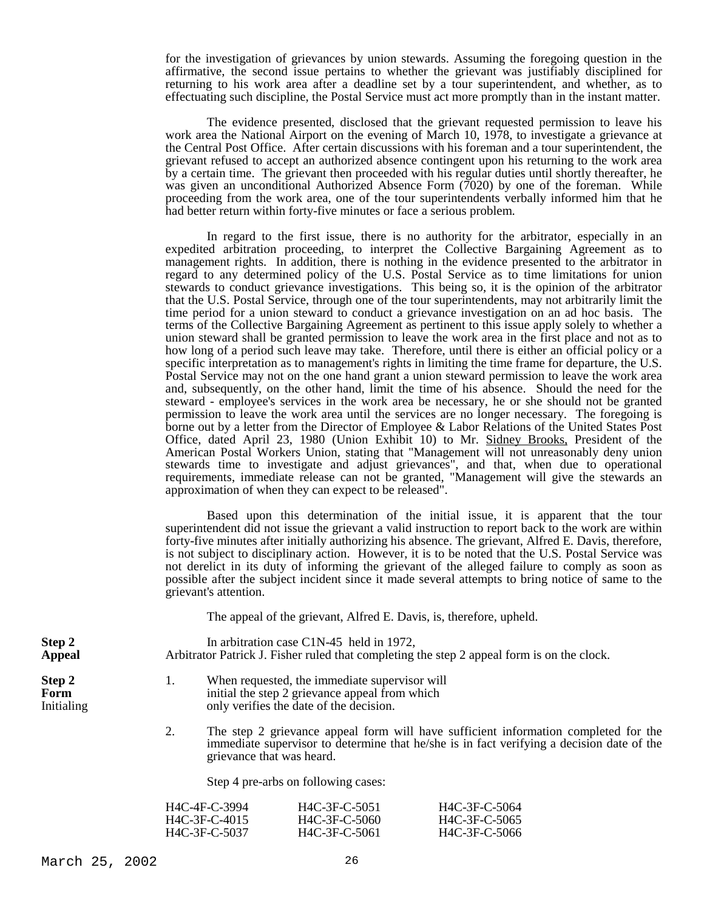for the investigation of grievances by union stewards. Assuming the foregoing question in the affirmative, the second issue pertains to whether the grievant was justifiably disciplined for returning to his work area after a deadline set by a tour superintendent, and whether, as to effectuating such discipline, the Postal Service must act more promptly than in the instant matter.

 The evidence presented, disclosed that the grievant requested permission to leave his work area the National Airport on the evening of March 10, 1978, to investigate a grievance at the Central Post Office. After certain discussions with his foreman and a tour superintendent, the grievant refused to accept an authorized absence contingent upon his returning to the work area by a certain time. The grievant then proceeded with his regular duties until shortly thereafter, he was given an unconditional Authorized Absence Form (7020) by one of the foreman. While proceeding from the work area, one of the tour superintendents verbally informed him that he had better return within forty-five minutes or face a serious problem.

 In regard to the first issue, there is no authority for the arbitrator, especially in an expedited arbitration proceeding, to interpret the Collective Bargaining Agreement as to management rights. In addition, there is nothing in the evidence presented to the arbitrator in regard to any determined policy of the U.S. Postal Service as to time limitations for union stewards to conduct grievance investigations. This being so, it is the opinion of the arbitrator that the U.S. Postal Service, through one of the tour superintendents, may not arbitrarily limit the time period for a union steward to conduct a grievance investigation on an ad hoc basis. The terms of the Collective Bargaining Agreement as pertinent to this issue apply solely to whether a union steward shall be granted permission to leave the work area in the first place and not as to how long of a period such leave may take. Therefore, until there is either an official policy or a specific interpretation as to management's rights in limiting the time frame for departure, the U.S. Postal Service may not on the one hand grant a union steward permission to leave the work area and, subsequently, on the other hand, limit the time of his absence. Should the need for the steward - employee's services in the work area be necessary, he or she should not be granted permission to leave the work area until the services are no longer necessary. The foregoing is borne out by a letter from the Director of Employee & Labor Relations of the United States Post Office, dated April 23, 1980 (Union Exhibit 10) to Mr. Sidney Brooks, President of the American Postal Workers Union, stating that "Management will not unreasonably deny union stewards time to investigate and adjust grievances", and that, when due to operational requirements, immediate release can not be granted, "Management will give the stewards an approximation of when they can expect to be released".

 Based upon this determination of the initial issue, it is apparent that the tour superintendent did not issue the grievant a valid instruction to report back to the work are within forty-five minutes after initially authorizing his absence. The grievant, Alfred E. Davis, therefore, is not subject to disciplinary action. However, it is to be noted that the U.S. Postal Service was not derelict in its duty of informing the grievant of the alleged failure to comply as soon as possible after the subject incident since it made several attempts to bring notice of same to the grievant's attention.

The appeal of the grievant, Alfred E. Davis, is, therefore, upheld.

**Step 2** In arbitration case C1N-45 held in 1972, **Appeal** Arbitrator Patrick J. Fisher ruled that completing the step 2 appeal form is on the clock.

- **Step 2** 1. When requested, the immediate supervisor will **Form** initial the step 2 grievance appeal from which Initialing only verifies the date of the decision.
	- 2. The step 2 grievance appeal form will have sufficient information completed for the immediate supervisor to determine that he/she is in fact verifying a decision date of the grievance that was heard.

Step 4 pre-arbs on following cases:

| H4C-4F-C-3994 | H4C-3F-C-5051 | H4C-3F-C-5064 |
|---------------|---------------|---------------|
| H4C-3F-C-4015 | H4C-3F-C-5060 | H4C-3F-C-5065 |
| H4C-3F-C-5037 | H4C-3F-C-5061 | H4C-3F-C-5066 |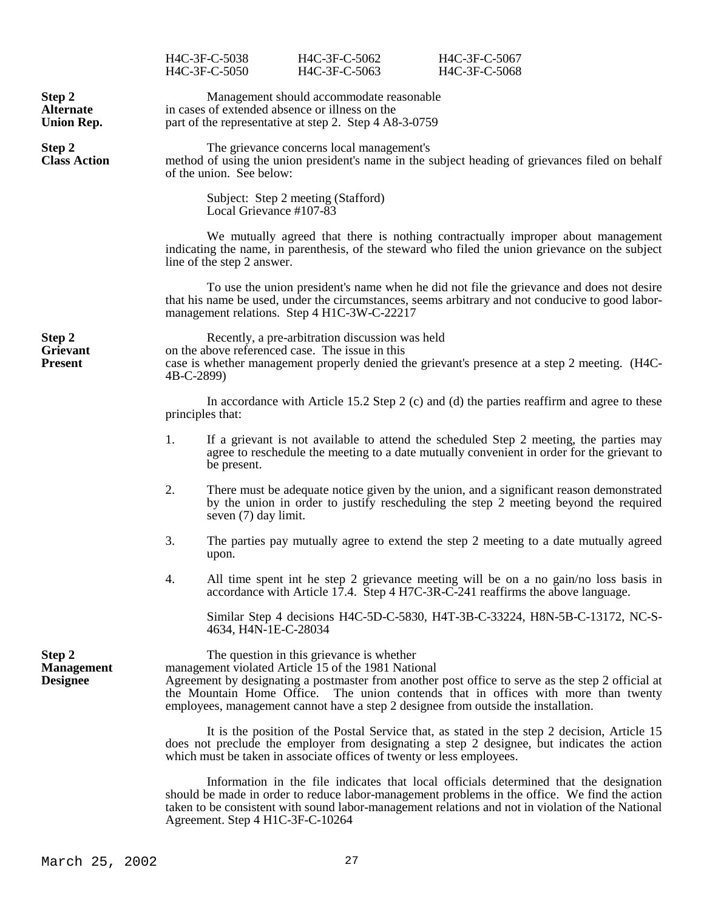|                                                 |                                                                                                                                                                                                                                                                                                                                                                                   | H4C-3F-C-5038<br>H4C-3F-C-5050   | H4C-3F-C-5062<br>H4C-3F-C-5063                                                                     | H4C-3F-C-5067<br>H4C-3F-C-5068                                                                                                                                                                                                                                                               |  |
|-------------------------------------------------|-----------------------------------------------------------------------------------------------------------------------------------------------------------------------------------------------------------------------------------------------------------------------------------------------------------------------------------------------------------------------------------|----------------------------------|----------------------------------------------------------------------------------------------------|----------------------------------------------------------------------------------------------------------------------------------------------------------------------------------------------------------------------------------------------------------------------------------------------|--|
| Step 2<br><b>Alternate</b><br><b>Union Rep.</b> | Management should accommodate reasonable<br>in cases of extended absence or illness on the<br>part of the representative at step 2. Step 4 A8-3-0759                                                                                                                                                                                                                              |                                  |                                                                                                    |                                                                                                                                                                                                                                                                                              |  |
| Step 2<br><b>Class Action</b>                   | The grievance concerns local management's<br>method of using the union president's name in the subject heading of grievances filed on behalf<br>of the union. See below:                                                                                                                                                                                                          |                                  |                                                                                                    |                                                                                                                                                                                                                                                                                              |  |
|                                                 |                                                                                                                                                                                                                                                                                                                                                                                   | Local Grievance #107-83          | Subject: Step 2 meeting (Stafford)                                                                 |                                                                                                                                                                                                                                                                                              |  |
|                                                 |                                                                                                                                                                                                                                                                                                                                                                                   | line of the step 2 answer.       |                                                                                                    | We mutually agreed that there is nothing contractually improper about management<br>indicating the name, in parenthesis, of the steward who filed the union grievance on the subject                                                                                                         |  |
|                                                 |                                                                                                                                                                                                                                                                                                                                                                                   |                                  | management relations. Step 4 H1C-3W-C-22217                                                        | To use the union president's name when he did not file the grievance and does not desire<br>that his name be used, under the circumstances, seems arbitrary and not conducive to good labor-                                                                                                 |  |
| Step 2<br>Grievant<br><b>Present</b>            | 4B-C-2899)                                                                                                                                                                                                                                                                                                                                                                        |                                  | Recently, a pre-arbitration discussion was held<br>on the above referenced case. The issue in this | case is whether management properly denied the grievant's presence at a step 2 meeting. (H4C-                                                                                                                                                                                                |  |
|                                                 |                                                                                                                                                                                                                                                                                                                                                                                   | principles that:                 |                                                                                                    | In accordance with Article 15.2 Step 2 (c) and (d) the parties reaffirm and agree to these                                                                                                                                                                                                   |  |
|                                                 | 1.                                                                                                                                                                                                                                                                                                                                                                                | be present.                      |                                                                                                    | If a grievant is not available to attend the scheduled Step 2 meeting, the parties may<br>agree to reschedule the meeting to a date mutually convenient in order for the grievant to                                                                                                         |  |
|                                                 | 2.                                                                                                                                                                                                                                                                                                                                                                                | seven (7) day limit.             |                                                                                                    | There must be adequate notice given by the union, and a significant reason demonstrated<br>by the union in order to justify rescheduling the step 2 meeting beyond the required                                                                                                              |  |
|                                                 | 3.                                                                                                                                                                                                                                                                                                                                                                                | upon.                            |                                                                                                    | The parties pay mutually agree to extend the step 2 meeting to a date mutually agreed                                                                                                                                                                                                        |  |
|                                                 | 4.                                                                                                                                                                                                                                                                                                                                                                                |                                  |                                                                                                    | All time spent int he step 2 grievance meeting will be on a no gain/no loss basis in<br>accordance with Article 17.4. Step 4 H7C-3R-C-241 reaffirms the above language.                                                                                                                      |  |
|                                                 |                                                                                                                                                                                                                                                                                                                                                                                   | 4634, H4N-1E-C-28034             |                                                                                                    | Similar Step 4 decisions H4C-5D-C-5830, H4T-3B-C-33224, H8N-5B-C-13172, NC-S-                                                                                                                                                                                                                |  |
| Step 2<br><b>Management</b><br><b>Designee</b>  | The question in this grievance is whether<br>management violated Article 15 of the 1981 National<br>Agreement by designating a postmaster from another post office to serve as the step 2 official at<br>the Mountain Home Office. The union contends that in offices with more than twenty<br>employees, management cannot have a step 2 designee from outside the installation. |                                  |                                                                                                    |                                                                                                                                                                                                                                                                                              |  |
|                                                 | It is the position of the Postal Service that, as stated in the step 2 decision, Article 15<br>does not preclude the employer from designating a step 2 designee, but indicates the action<br>which must be taken in associate offices of twenty or less employees.                                                                                                               |                                  |                                                                                                    |                                                                                                                                                                                                                                                                                              |  |
|                                                 |                                                                                                                                                                                                                                                                                                                                                                                   | Agreement. Step 4 H1C-3F-C-10264 |                                                                                                    | Information in the file indicates that local officials determined that the designation<br>should be made in order to reduce labor-management problems in the office. We find the action<br>taken to be consistent with sound labor-management relations and not in violation of the National |  |

# March 25, 2002 27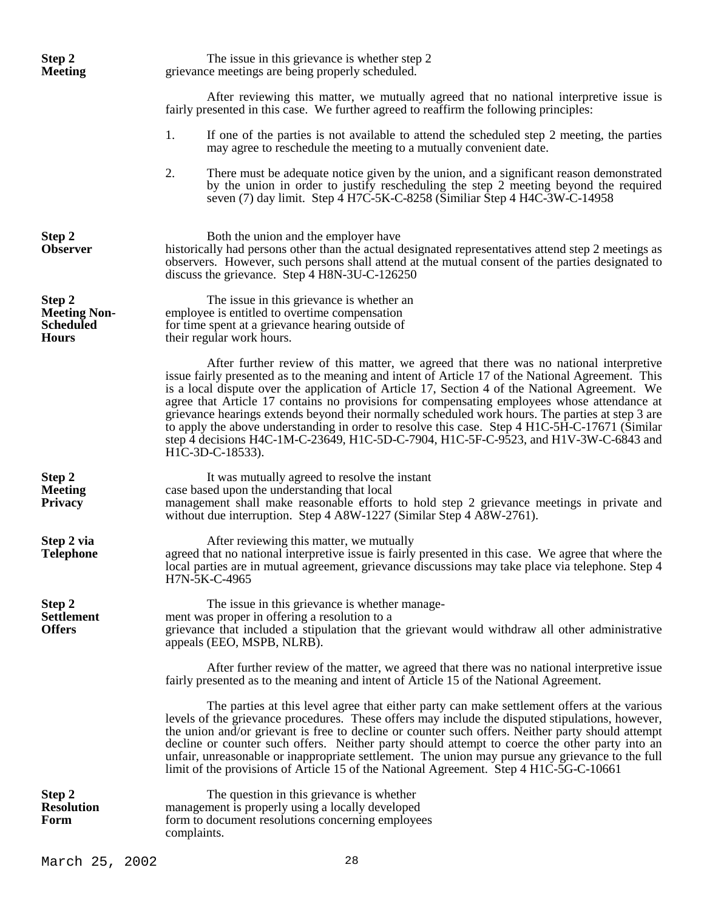| Step 2<br><b>Meeting</b>                                          | The issue in this grievance is whether step 2<br>grievance meetings are being properly scheduled.                                                                                                                                                                                                                                                                                                                                                                                                                                                                                                                                                                                                              |
|-------------------------------------------------------------------|----------------------------------------------------------------------------------------------------------------------------------------------------------------------------------------------------------------------------------------------------------------------------------------------------------------------------------------------------------------------------------------------------------------------------------------------------------------------------------------------------------------------------------------------------------------------------------------------------------------------------------------------------------------------------------------------------------------|
|                                                                   | After reviewing this matter, we mutually agreed that no national interpretive issue is<br>fairly presented in this case. We further agreed to reaffirm the following principles:                                                                                                                                                                                                                                                                                                                                                                                                                                                                                                                               |
|                                                                   | If one of the parties is not available to attend the scheduled step 2 meeting, the parties<br>1.<br>may agree to reschedule the meeting to a mutually convenient date.                                                                                                                                                                                                                                                                                                                                                                                                                                                                                                                                         |
|                                                                   | 2.<br>There must be adequate notice given by the union, and a significant reason demonstrated<br>by the union in order to justify rescheduling the step 2 meeting beyond the required<br>seven (7) day limit. Step 4 H7C-5K-C-8258 (Similiar Step 4 H4C-3W-C-14958                                                                                                                                                                                                                                                                                                                                                                                                                                             |
| Step 2<br><b>Observer</b>                                         | Both the union and the employer have<br>historically had persons other than the actual designated representatives attend step 2 meetings as<br>observers. However, such persons shall attend at the mutual consent of the parties designated to<br>discuss the grievance. Step 4 H8N-3U-C-126250                                                                                                                                                                                                                                                                                                                                                                                                               |
| Step 2<br><b>Meeting Non-</b><br><b>Scheduled</b><br><b>Hours</b> | The issue in this grievance is whether an<br>employee is entitled to overtime compensation<br>for time spent at a grievance hearing outside of<br>their regular work hours.                                                                                                                                                                                                                                                                                                                                                                                                                                                                                                                                    |
|                                                                   | After further review of this matter, we agreed that there was no national interpretive<br>issue fairly presented as to the meaning and intent of Article 17 of the National Agreement. This<br>is a local dispute over the application of Article 17, Section 4 of the National Agreement. We<br>agree that Article 17 contains no provisions for compensating employees whose attendance at<br>grievance hearings extends beyond their normally scheduled work hours. The parties at step 3 are<br>to apply the above understanding in order to resolve this case. Step 4 H1C-5H-C-17671 (Similar<br>step 4 decisions H4C-1M-C-23649, H1C-5D-C-7904, H1C-5F-C-9523, and H1V-3W-C-6843 and<br>H1C-3D-C-18533). |
| Step 2<br><b>Meeting</b><br><b>Privacy</b>                        | It was mutually agreed to resolve the instant<br>case based upon the understanding that local<br>management shall make reasonable efforts to hold step 2 grievance meetings in private and<br>without due interruption. Step 4 A8W-1227 (Similar Step 4 A8W-2761).                                                                                                                                                                                                                                                                                                                                                                                                                                             |
| Step 2 via<br><b>Telephone</b>                                    | After reviewing this matter, we mutually<br>agreed that no national interpretive issue is fairly presented in this case. We agree that where the<br>local parties are in mutual agreement, grievance discussions may take place via telephone. Step 4<br>H7N-5K-C-4965                                                                                                                                                                                                                                                                                                                                                                                                                                         |
| Step 2<br><b>Settlement</b><br><b>Offers</b>                      | The issue in this grievance is whether manage-<br>ment was proper in offering a resolution to a<br>grievance that included a stipulation that the grievant would withdraw all other administrative<br>appeals (EEO, MSPB, NLRB).                                                                                                                                                                                                                                                                                                                                                                                                                                                                               |
|                                                                   | After further review of the matter, we agreed that there was no national interpretive issue<br>fairly presented as to the meaning and intent of Article 15 of the National Agreement.                                                                                                                                                                                                                                                                                                                                                                                                                                                                                                                          |
|                                                                   | The parties at this level agree that either party can make settlement offers at the various<br>levels of the grievance procedures. These offers may include the disputed stipulations, however,<br>the union and/or grievant is free to decline or counter such offers. Neither party should attempt<br>decline or counter such offers. Neither party should attempt to coerce the other party into an<br>unfair, unreasonable or inappropriate settlement. The union may pursue any grievance to the full<br>limit of the provisions of Article 15 of the National Agreement. Step 4 H1C-5G-C-10661                                                                                                           |
| Step 2<br><b>Resolution</b><br>Form                               | The question in this grievance is whether<br>management is properly using a locally developed<br>form to document resolutions concerning employees<br>complaints.                                                                                                                                                                                                                                                                                                                                                                                                                                                                                                                                              |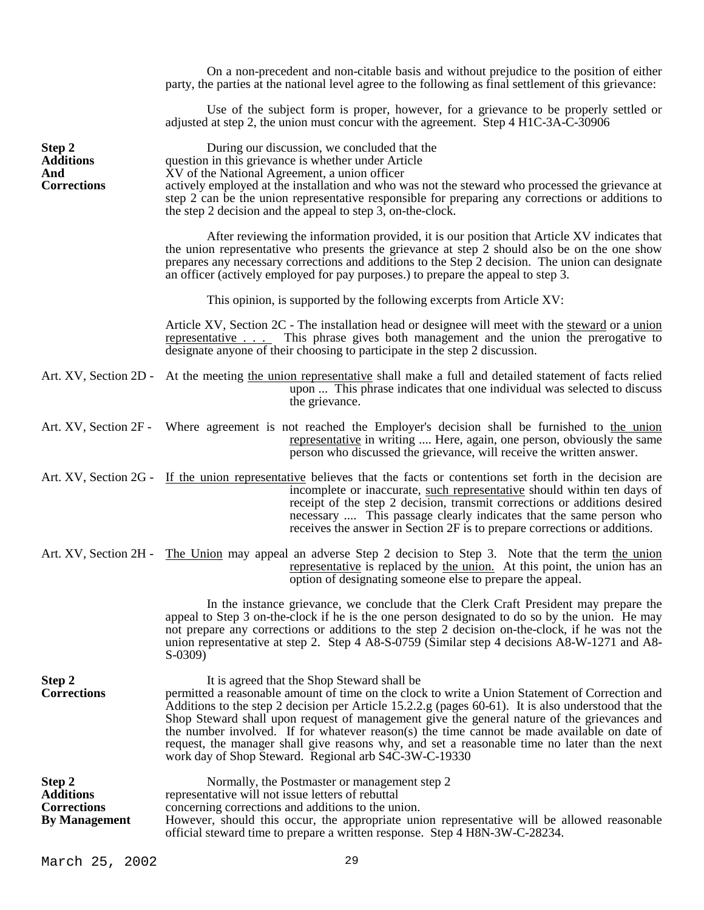|                                                                          | On a non-precedent and non-citable basis and without prejudice to the position of either<br>party, the parties at the national level agree to the following as final settlement of this grievance:                                                                                                                                                                                                                                                                                                                                                                                                            |
|--------------------------------------------------------------------------|---------------------------------------------------------------------------------------------------------------------------------------------------------------------------------------------------------------------------------------------------------------------------------------------------------------------------------------------------------------------------------------------------------------------------------------------------------------------------------------------------------------------------------------------------------------------------------------------------------------|
|                                                                          | Use of the subject form is proper, however, for a grievance to be properly settled or<br>adjusted at step 2, the union must concur with the agreement. Step 4 H1C-3A-C-30906                                                                                                                                                                                                                                                                                                                                                                                                                                  |
| Step 2<br><b>Additions</b><br>And<br><b>Corrections</b>                  | During our discussion, we concluded that the<br>question in this grievance is whether under Article<br>XV of the National Agreement, a union officer<br>actively employed at the installation and who was not the steward who processed the grievance at<br>step 2 can be the union representative responsible for preparing any corrections or additions to<br>the step 2 decision and the appeal to step 3, on-the-clock.                                                                                                                                                                                   |
|                                                                          | After reviewing the information provided, it is our position that Article XV indicates that<br>the union representative who presents the grievance at step 2 should also be on the one show<br>prepares any necessary corrections and additions to the Step 2 decision. The union can designate<br>an officer (actively employed for pay purposes.) to prepare the appeal to step 3.                                                                                                                                                                                                                          |
|                                                                          | This opinion, is supported by the following excerpts from Article XV:                                                                                                                                                                                                                                                                                                                                                                                                                                                                                                                                         |
|                                                                          | Article XV, Section 2C - The installation head or designee will meet with the steward or a union<br>representative This phrase gives both management and the union the prerogative to<br>designate anyone of their choosing to participate in the step 2 discussion.                                                                                                                                                                                                                                                                                                                                          |
|                                                                          | Art. XV, Section 2D - At the meeting the union representative shall make a full and detailed statement of facts relied<br>upon  This phrase indicates that one individual was selected to discuss<br>the grievance.                                                                                                                                                                                                                                                                                                                                                                                           |
|                                                                          | Art. XV, Section 2F - Where agreement is not reached the Employer's decision shall be furnished to the union<br>representative in writing  Here, again, one person, obviously the same<br>person who discussed the grievance, will receive the written answer.                                                                                                                                                                                                                                                                                                                                                |
|                                                                          | Art. XV, Section 2G - If the union representative believes that the facts or contentions set forth in the decision are<br>incomplete or inaccurate, such representative should within ten days of<br>receipt of the step 2 decision, transmit corrections or additions desired<br>necessary  This passage clearly indicates that the same person who<br>receives the answer in Section 2F is to prepare corrections or additions.                                                                                                                                                                             |
|                                                                          | Art. XV, Section 2H - The Union may appeal an adverse Step 2 decision to Step 3. Note that the term the union<br>representative is replaced by the union. At this point, the union has an<br>option of designating someone else to prepare the appeal.                                                                                                                                                                                                                                                                                                                                                        |
|                                                                          | In the instance grievance, we conclude that the Clerk Craft President may prepare the<br>appeal to Step 3 on-the-clock if he is the one person designated to do so by the union. He may<br>not prepare any corrections or additions to the step 2 decision on-the-clock, if he was not the<br>union representative at step 2. Step 4 A8-S-0759 (Similar step 4 decisions A8-W-1271 and A8-<br>$S-0309$                                                                                                                                                                                                        |
| Step 2<br><b>Corrections</b>                                             | It is agreed that the Shop Steward shall be<br>permitted a reasonable amount of time on the clock to write a Union Statement of Correction and<br>Additions to the step 2 decision per Article 15.2.2.g (pages 60-61). It is also understood that the<br>Shop Steward shall upon request of management give the general nature of the grievances and<br>the number involved. If for whatever reason(s) the time cannot be made available on date of<br>request, the manager shall give reasons why, and set a reasonable time no later than the next<br>work day of Shop Steward. Regional arb S4C-3W-C-19330 |
| Step 2<br><b>Additions</b><br><b>Corrections</b><br><b>By Management</b> | Normally, the Postmaster or management step 2<br>representative will not issue letters of rebuttal<br>concerning corrections and additions to the union.<br>However, should this occur, the appropriate union representative will be allowed reasonable<br>official steward time to prepare a written response. Step 4 H8N-3W-C-28234.                                                                                                                                                                                                                                                                        |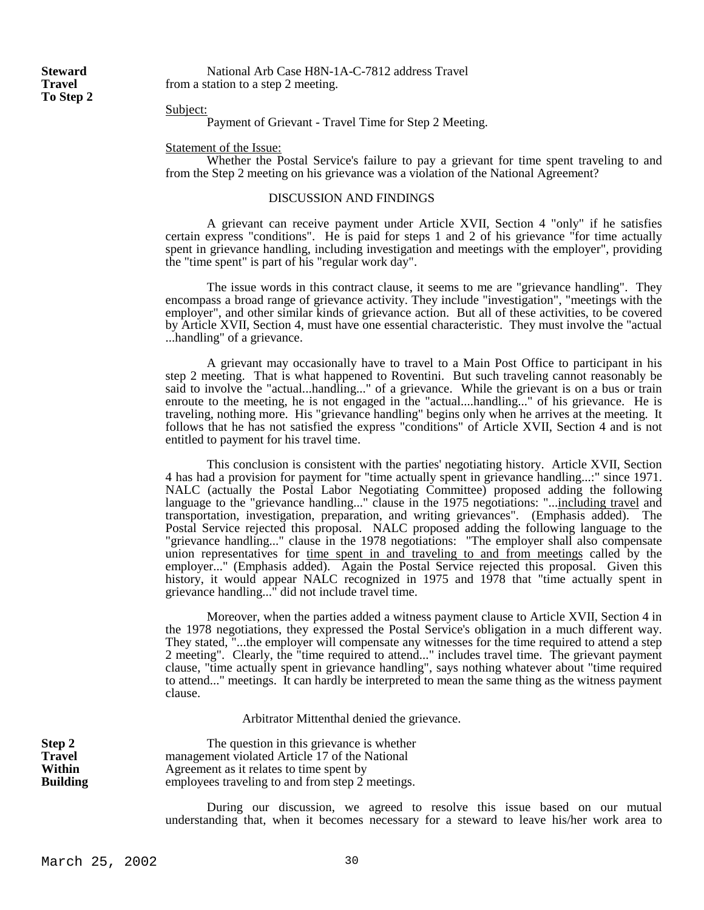**To Step 2**

**Steward** National Arb Case H8N-1A-C-7812 address Travel **Travel** from a station to a step 2 meeting.

## Subject:

Payment of Grievant - Travel Time for Step 2 Meeting.

Statement of the Issue:

 Whether the Postal Service's failure to pay a grievant for time spent traveling to and from the Step 2 meeting on his grievance was a violation of the National Agreement?

# DISCUSSION AND FINDINGS

 A grievant can receive payment under Article XVII, Section 4 "only" if he satisfies certain express "conditions". He is paid for steps 1 and 2 of his grievance "for time actually spent in grievance handling, including investigation and meetings with the employer", providing the "time spent" is part of his "regular work day".

 The issue words in this contract clause, it seems to me are "grievance handling". They encompass a broad range of grievance activity. They include "investigation", "meetings with the employer", and other similar kinds of grievance action. But all of these activities, to be covered by Article XVII, Section 4, must have one essential characteristic. They must involve the "actual ...handling" of a grievance.

 A grievant may occasionally have to travel to a Main Post Office to participant in his step 2 meeting. That is what happened to Roventini. But such traveling cannot reasonably be said to involve the "actual...handling..." of a grievance. While the grievant is on a bus or train enroute to the meeting, he is not engaged in the "actual....handling..." of his grievance. He is traveling, nothing more. His "grievance handling" begins only when he arrives at the meeting. It follows that he has not satisfied the express "conditions" of Article XVII, Section 4 and is not entitled to payment for his travel time.

 This conclusion is consistent with the parties' negotiating history. Article XVII, Section 4 has had a provision for payment for "time actually spent in grievance handling...:" since 1971. NALC (actually the Postal Labor Negotiating Committee) proposed adding the following language to the "grievance handling..." clause in the 1975 negotiations: "...<u>including travel</u> and transportation, investigation, preparation, and writing grievances". (Emphasis added). The Postal Service rejected this proposal. NALC proposed adding the following language to the "grievance handling..." clause in the 1978 negotiations: "The employer shall also compensate union representatives for time spent in and traveling to and from meetings called by the employer..." (Emphasis added). Again the Postal Service rejected this proposal. Given this history, it would appear NALC recognized in 1975 and 1978 that "time actually spent in grievance handling..." did not include travel time.

 Moreover, when the parties added a witness payment clause to Article XVII, Section 4 in the 1978 negotiations, they expressed the Postal Service's obligation in a much different way. They stated, "...the employer will compensate any witnesses for the time required to attend a step 2 meeting". Clearly, the "time required to attend..." includes travel time. The grievant payment clause, "time actually spent in grievance handling", says nothing whatever about "time required to attend..." meetings. It can hardly be interpreted to mean the same thing as the witness payment clause.

Arbitrator Mittenthal denied the grievance.

**Step 2** The question in this grievance is whether **Travel** management violated Article 17 of the National **Within** Agreement as it relates to time spent by Agreement as it relates to time spent by **Building** employees traveling to and from step 2 meetings.

> During our discussion, we agreed to resolve this issue based on our mutual understanding that, when it becomes necessary for a steward to leave his/her work area to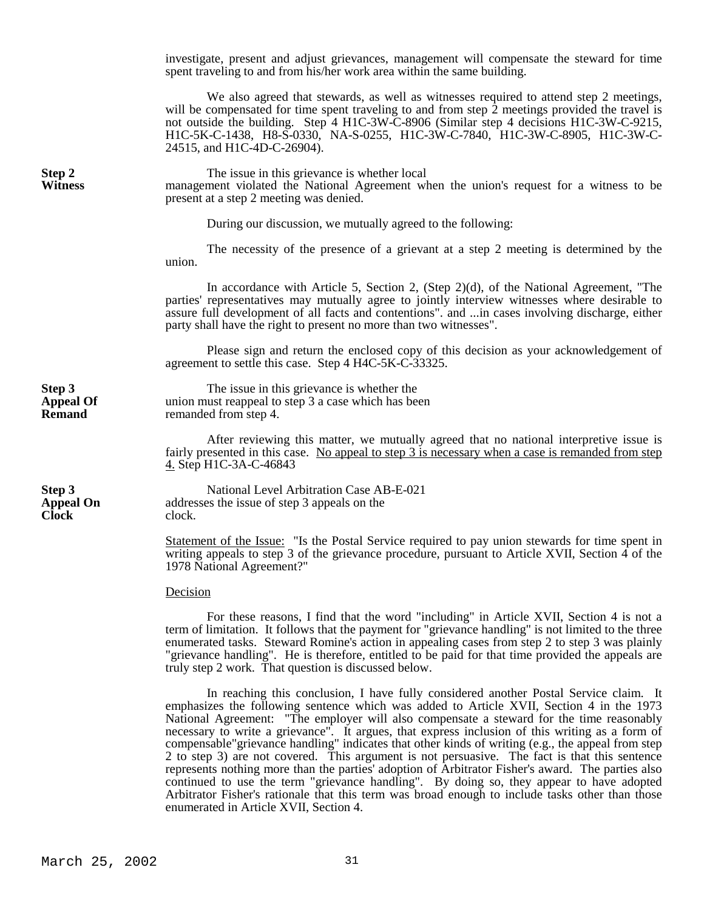investigate, present and adjust grievances, management will compensate the steward for time spent traveling to and from his/her work area within the same building.

We also agreed that stewards, as well as witnesses required to attend step 2 meetings, will be compensated for time spent traveling to and from step  $\tilde{2}$  meetings provided the travel is not outside the building. Step 4 H1C-3W-C-8906 (Similar step 4 decisions H1C-3W-C-9215, H1C-5K-C-1438, H8-S-0330, NA-S-0255, H1C-3W-C-7840, H1C-3W-C-8905, H1C-3W-C-24515, and H1C-4D-C-26904).

**Step 2** The issue in this grievance is whether local<br>**Witness** management violated the National Agreement whether when **Witness** management violated the National Agreement when the union's request for a witness to be present at a step 2 meeting was denied.

During our discussion, we mutually agreed to the following:

 The necessity of the presence of a grievant at a step 2 meeting is determined by the union.

 In accordance with Article 5, Section 2, (Step 2)(d), of the National Agreement, "The parties' representatives may mutually agree to jointly interview witnesses where desirable to assure full development of all facts and contentions". and ...in cases involving discharge, either party shall have the right to present no more than two witnesses".

 Please sign and return the enclosed copy of this decision as your acknowledgement of agreement to settle this case. Step 4 H4C-5K-C-33325.

**Clock** clock.

**Step 3** The issue in this grievance is whether the **Appeal Of** union must reappeal to step 3 a case which has been<br> **Remand** remanded from step 4. remanded from step 4.

> After reviewing this matter, we mutually agreed that no national interpretive issue is fairly presented in this case. No appeal to step 3 is necessary when a case is remanded from step 4. Step H1C-3A-C-46843

**Step 3** National Level Arbitration Case AB-E-021 **Appeal On** addresses the issue of step 3 appeals on the

> Statement of the Issue: "Is the Postal Service required to pay union stewards for time spent in writing appeals to step 3 of the grievance procedure, pursuant to Article XVII, Section 4 of the 1978 National Agreement?"

### Decision

 For these reasons, I find that the word "including" in Article XVII, Section 4 is not a term of limitation. It follows that the payment for "grievance handling" is not limited to the three enumerated tasks. Steward Romine's action in appealing cases from step 2 to step 3 was plainly "grievance handling". He is therefore, entitled to be paid for that time provided the appeals are truly step 2 work. That question is discussed below.

 In reaching this conclusion, I have fully considered another Postal Service claim. It emphasizes the following sentence which was added to Article XVII, Section 4 in the 1973 National Agreement: "The employer will also compensate a steward for the time reasonably necessary to write a grievance". It argues, that express inclusion of this writing as a form of compensable"grievance handling" indicates that other kinds of writing (e.g., the appeal from step 2 to step 3) are not covered. This argument is not persuasive. The fact is that this sentence represents nothing more than the parties' adoption of Arbitrator Fisher's award. The parties also continued to use the term "grievance handling". By doing so, they appear to have adopted Arbitrator Fisher's rationale that this term was broad enough to include tasks other than those enumerated in Article XVII, Section 4.